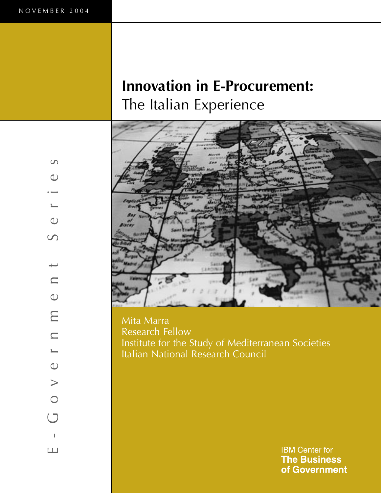$\infty$ 

 $\bigcirc$ 

 $\overline{\phantom{0}}$ 

 $\bigcirc$ 

 $\infty$ 

E - G o v e r n m e n t S e r i e s

 $\sum$ 

 $\subseteq$ 

 $\sum_{i=1}^{n}$ 

 $\bigcirc$ 

 $\qquad \qquad$ 

 $\bigcirc$ 

 $\cup$ 

 $\blacksquare$ 

 $\boxed{\phantom{1}}$ 

 $\bigcirc$ 

 $\subseteq$ 

# **Innovation in E-Procurement:**  The Italian Experience



Mita Marra Research Fellow Institute for the Study of Mediterranean Societies Italian National Research Council

> **IBM Center for The Business** of Government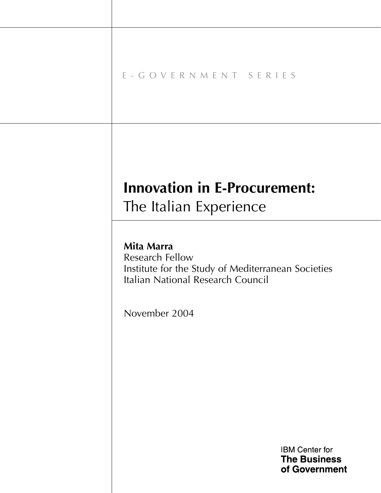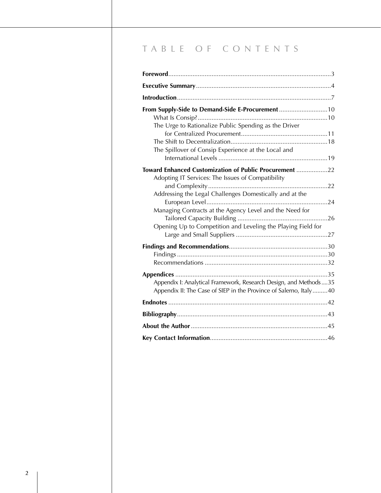# T A B L E O F C O N T E N T S

| From Supply-Side to Demand-Side E-Procurement10<br>The Urge to Rationalize Public Spending as the Driver<br>The Spillover of Consip Experience at the Local and |  |
|-----------------------------------------------------------------------------------------------------------------------------------------------------------------|--|
| Toward Enhanced Customization of Public Procurement 22                                                                                                          |  |
| Adopting IT Services: The Issues of Compatibility<br>Addressing the Legal Challenges Domestically and at the                                                    |  |
| Managing Contracts at the Agency Level and the Need for<br>Opening Up to Competition and Leveling the Playing Field for                                         |  |
|                                                                                                                                                                 |  |
| Appendix I: Analytical Framework, Research Design, and Methods35<br>Appendix II: The Case of SIEP in the Province of Salerno, Italy40                           |  |
|                                                                                                                                                                 |  |
|                                                                                                                                                                 |  |
|                                                                                                                                                                 |  |
|                                                                                                                                                                 |  |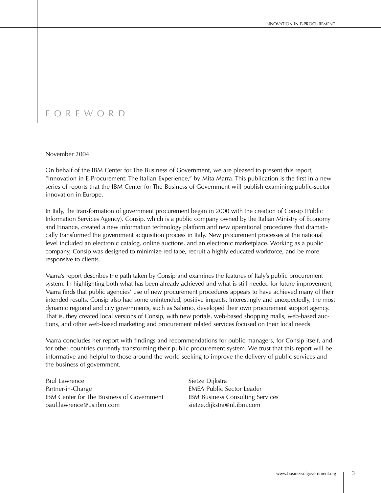# F O R E W O R D

#### November 2004

On behalf of the IBM Center for The Business of Government, we are pleased to present this report, "Innovation in E-Procurement: The Italian Experience," by Mita Marra. This publication is the first in a new series of reports that the IBM Center for The Business of Government will publish examining public-sector innovation in Europe.

In Italy, the transformation of government procurement began in 2000 with the creation of Consip (Public Information Services Agency). Consip, which is a public company owned by the Italian Ministry of Economy and Finance, created a new information technology platform and new operational procedures that dramatically transformed the government acquisition process in Italy. New procurement processes at the national level included an electronic catalog, online auctions, and an electronic marketplace. Working as a public company, Consip was designed to minimize red tape, recruit a highly educated workforce, and be more responsive to clients.

Marra's report describes the path taken by Consip and examines the features of Italy's public procurement system. In highlighting both what has been already achieved and what is still needed for future improvement, Marra finds that public agencies' use of new procurement procedures appears to have achieved many of their intended results. Consip also had some unintended, positive impacts. Interestingly and unexpectedly, the most dynamic regional and city governments, such as Salerno, developed their own procurement support agency. That is, they created local versions of Consip, with new portals, web-based shopping malls, web-based auctions, and other web-based marketing and procurement related services focused on their local needs.

Marra concludes her report with findings and recommendations for public managers, for Consip itself, and for other countries currently transforming their public procurement system. We trust that this report will be informative and helpful to those around the world seeking to improve the delivery of public services and the business of government.

Paul Lawrence Sietze Dijkstra Partner-in-Charge **EMEA Public Sector Leader** IBM Center for The Business of Government IBM Business Consulting Services paul.lawrence@us.ibm.com sietze.dijkstra@nl.ibm.com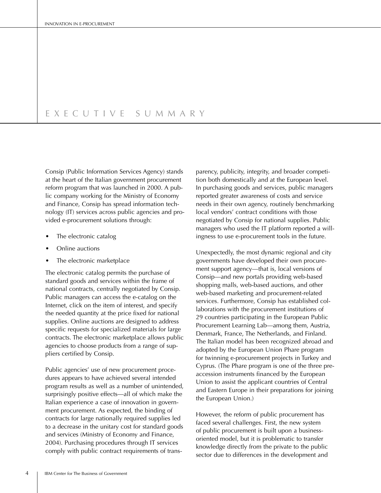## E X E C U T I V E S U M M A R Y

Consip (Public Information Services Agency) stands at the heart of the Italian government procurement reform program that was launched in 2000. A public company working for the Ministry of Economy and Finance, Consip has spread information technology (IT) services across public agencies and provided e-procurement solutions through:

- The electronic catalog
- Online auctions
- The electronic marketplace

The electronic catalog permits the purchase of standard goods and services within the frame of national contracts, centrally negotiated by Consip. Public managers can access the e-catalog on the Internet, click on the item of interest, and specify the needed quantity at the price fixed for national supplies. Online auctions are designed to address specific requests for specialized materials for large contracts. The electronic marketplace allows public agencies to choose products from a range of suppliers certified by Consip.

Public agencies' use of new procurement procedures appears to have achieved several intended program results as well as a number of unintended, surprisingly positive effects—all of which make the Italian experience a case of innovation in government procurement. As expected, the binding of contracts for large nationally required supplies led to a decrease in the unitary cost for standard goods and services (Ministry of Economy and Finance, 2004). Purchasing procedures through IT services comply with public contract requirements of transparency, publicity, integrity, and broader competition both domestically and at the European level. In purchasing goods and services, public managers reported greater awareness of costs and service needs in their own agency, routinely benchmarking local vendors' contract conditions with those negotiated by Consip for national supplies. Public managers who used the IT platform reported a willingness to use e-procurement tools in the future.

Unexpectedly, the most dynamic regional and city governments have developed their own procurement support agency—that is, local versions of Consip—and new portals providing web-based shopping malls, web-based auctions, and other web-based marketing and procurement-related services. Furthermore, Consip has established collaborations with the procurement institutions of 29 countries participating in the European Public Procurement Learning Lab—among them, Austria, Denmark, France, The Netherlands, and Finland. The Italian model has been recognized abroad and adopted by the European Union Phare program for twinning e-procurement projects in Turkey and Cyprus. (The Phare program is one of the three preaccession instruments financed by the European Union to assist the applicant countries of Central and Eastern Europe in their preparations for joining the European Union.)

However, the reform of public procurement has faced several challenges. First, the new system of public procurement is built upon a businessoriented model, but it is problematic to transfer knowledge directly from the private to the public sector due to differences in the development and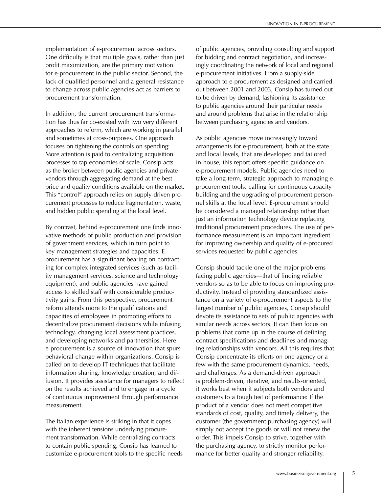implementation of e-procurement across sectors. One difficulty is that multiple goals, rather than just profit maximization, are the primary motivation for e-procurement in the public sector. Second, the lack of qualified personnel and a general resistance to change across public agencies act as barriers to procurement transformation.

In addition, the current procurement transformation has thus far co-existed with two very different approaches to reform, which are working in parallel and sometimes at cross-purposes. One approach focuses on tightening the controls on spending: More attention is paid to centralizing acquisition processes to tap economies of scale. Consip acts as the broker between public agencies and private vendors through aggregating demand at the best price and quality conditions available on the market. This "control" approach relies on supply-driven procurement processes to reduce fragmentation, waste, and hidden public spending at the local level.

By contrast, behind e-procurement one finds innovative methods of public production and provision of government services, which in turn point to key management strategies and capacities. Eprocurement has a significant bearing on contracting for complex integrated services (such as facility management services, science and technology equipment), and public agencies have gained access to skilled staff with considerable productivity gains. From this perspective, procurement reform attends more to the qualifications and capacities of employees in promoting efforts to decentralize procurement decisions while infusing technology, changing local assessment practices, and developing networks and partnerships. Here e-procurement is a source of innovation that spurs behavioral change within organizations. Consip is called on to develop IT techniques that facilitate information sharing, knowledge creation, and diffusion. It provides assistance for managers to reflect on the results achieved and to engage in a cycle of continuous improvement through performance measurement.

The Italian experience is striking in that it copes with the inherent tensions underlying procurement transformation. While centralizing contracts to contain public spending, Consip has learned to customize e-procurement tools to the specific needs of public agencies, providing consulting and support for bidding and contract negotiation, and increasingly coordinating the network of local and regional e-procurement initiatives. From a supply-side approach to e-procurement as designed and carried out between 2001 and 2003, Consip has turned out to be driven by demand, fashioning its assistance to public agencies around their particular needs and around problems that arise in the relationship between purchasing agencies and vendors.

As public agencies move increasingly toward arrangements for e-procurement, both at the state and local levels, that are developed and tailored in-house, this report offers specific guidance on e-procurement models. Public agencies need to take a long-term, strategic approach to managing eprocurement tools, calling for continuous capacity building and the upgrading of procurement personnel skills at the local level. E-procurement should be considered a managed relationship rather than just an information technology device replacing traditional procurement procedures. The use of performance measurement is an important ingredient for improving ownership and quality of e-procured services requested by public agencies.

Consip should tackle one of the major problems facing public agencies—that of finding reliable vendors so as to be able to focus on improving productivity. Instead of providing standardized assistance on a variety of e-procurement aspects to the largest number of public agencies, Consip should devote its assistance to sets of public agencies with similar needs across sectors. It can then focus on problems that come up in the course of defining contract specifications and deadlines and managing relationships with vendors. All this requires that Consip concentrate its efforts on one agency or a few with the same procurement dynamics, needs, and challenges. As a demand-driven approach is problem-driven, iterative, and results-oriented, it works best when it subjects both vendors and customers to a tough test of performance: If the product of a vendor does not meet competitive standards of cost, quality, and timely delivery, the customer (the government purchasing agency) will simply not accept the goods or will not renew the order. This impels Consip to strive, together with the purchasing agency, to strictly monitor performance for better quality and stronger reliability.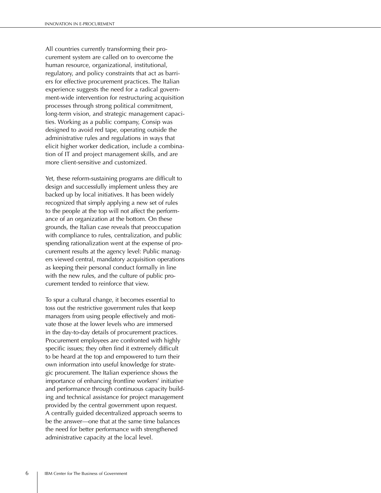All countries currently transforming their procurement system are called on to overcome the human resource, organizational, institutional, regulatory, and policy constraints that act as barriers for effective procurement practices. The Italian experience suggests the need for a radical government-wide intervention for restructuring acquisition processes through strong political commitment, long-term vision, and strategic management capacities. Working as a public company, Consip was designed to avoid red tape, operating outside the administrative rules and regulations in ways that elicit higher worker dedication, include a combination of IT and project management skills, and are more client-sensitive and customized.

Yet, these reform-sustaining programs are difficult to design and successfully implement unless they are backed up by local initiatives. It has been widely recognized that simply applying a new set of rules to the people at the top will not affect the performance of an organization at the bottom. On these grounds, the Italian case reveals that preoccupation with compliance to rules, centralization, and public spending rationalization went at the expense of procurement results at the agency level: Public managers viewed central, mandatory acquisition operations as keeping their personal conduct formally in line with the new rules, and the culture of public procurement tended to reinforce that view.

To spur a cultural change, it becomes essential to toss out the restrictive government rules that keep managers from using people effectively and motivate those at the lower levels who are immersed in the day-to-day details of procurement practices. Procurement employees are confronted with highly specific issues; they often find it extremely difficult to be heard at the top and empowered to turn their own information into useful knowledge for strategic procurement. The Italian experience shows the importance of enhancing frontline workers' initiative and performance through continuous capacity building and technical assistance for project management provided by the central government upon request. A centrally guided decentralized approach seems to be the answer—one that at the same time balances the need for better performance with strengthened administrative capacity at the local level.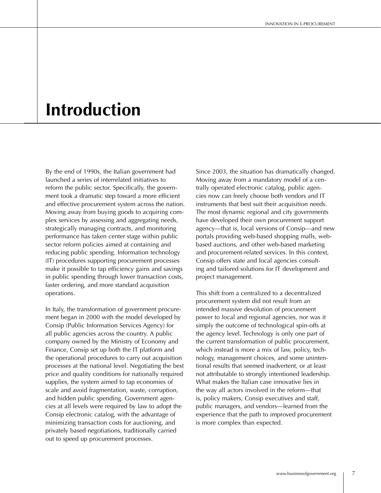# **Introduction**

By the end of 1990s, the Italian government had launched a series of interrelated initiatives to reform the public sector. Specifically, the government took a dramatic step toward a more efficient and effective procurement system across the nation. Moving away from buying goods to acquiring complex services by assessing and aggregating needs, strategically managing contracts, and monitoring performance has taken center stage within public sector reform policies aimed at containing and reducing public spending. Information technology (IT) procedures supporting procurement processes make it possible to tap efficiency gains and savings in public spending through lower transaction costs, faster ordering, and more standard acquisition operations.

In Italy, the transformation of government procurement began in 2000 with the model developed by Consip (Public Information Services Agency) for all public agencies across the country. A public company owned by the Ministry of Economy and Finance, Consip set up both the IT platform and the operational procedures to carry out acquisition processes at the national level. Negotiating the best price and quality conditions for nationally required supplies, the system aimed to tap economies of scale and avoid fragmentation, waste, corruption, and hidden public spending. Government agencies at all levels were required by law to adopt the Consip electronic catalog, with the advantage of minimizing transaction costs for auctioning, and privately based negotiations, traditionally carried out to speed up procurement processes.

Since 2003, the situation has dramatically changed. Moving away from a mandatory model of a centrally operated electronic catalog, public agencies now can freely choose both vendors and IT instruments that best suit their acquisition needs. The most dynamic regional and city governments have developed their own procurement support agency—that is, local versions of Consip—and new portals providing web-based shopping malls, webbased auctions, and other web-based marketing and procurement-related services. In this context, Consip offers state and local agencies consulting and tailored solutions for IT development and project management.

This shift from a centralized to a decentralized procurement system did not result from an intended massive devolution of procurement power to local and regional agencies, nor was it simply the outcome of technological spin-offs at the agency level. Technology is only one part of the current transformation of public procurement, which instead is more a mix of law, policy, technology, management choices, and some unintentional results that seemed inadvertent, or at least not attributable to strongly intentioned leadership. What makes the Italian case innovative lies in the way all actors involved in the reform—that is, policy makers, Consip executives and staff, public managers, and vendors—learned from the experience that the path to improved procurement is more complex than expected.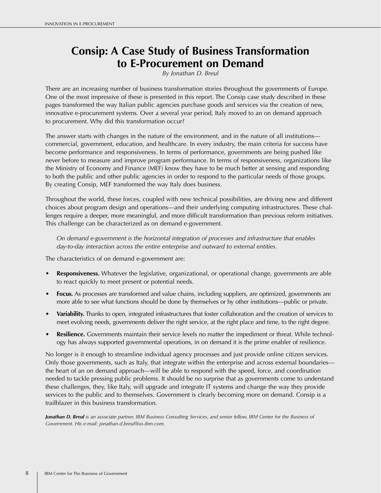# **Consip: A Case Study of Business Transformation to E-Procurement on Demand**

*By Jonathan D. Breul*

There are an increasing number of business transformation stories throughout the governments of Europe. One of the most impressive of these is presented in this report. The Consip case study described in these pages transformed the way Italian public agencies purchase goods and services via the creation of new, innovative e-procurement systems. Over a several year period, Italy moved to an on demand approach to procurement. Why did this transformation occur?

The answer starts with changes in the nature of the environment, and in the nature of all institutions commercial, government, education, and healthcare. In every industry, the main criteria for success have become performance and responsiveness. In terms of performance, governments are being pushed like never before to measure and improve program performance. In terms of responsiveness, organizations like the Ministry of Economy and Finance (MEF) know they have to be much better at sensing and responding to both the public and other public agencies in order to respond to the particular needs of those groups. By creating Consip, MEF transformed the way Italy does business.

Throughout the world, these forces, coupled with new technical possibilities, are driving new and different choices about program design and operations—and their underlying computing infrastructures. These challenges require a deeper, more meaningful, and more difficult transformation than previous reform initiatives. This challenge can be characterized as on demand e-government.

 *On demand e-government is the horizontal integration of processes and infrastructure that enables day-to-day interaction across the entire enterprise and outward to external entities.*

The characteristics of on demand e-government are:

- **Responsiveness.** Whatever the legislative, organizational, or operational change, governments are able to react quickly to meet present or potential needs.
- **Focus.** As processes are transformed and value chains, including suppliers, are optimized, governments are more able to see what functions should be done by themselves or by other institutions—public or private.
- **Variability.** Thanks to open, integrated infrastructures that foster collaboration and the creation of services to meet evolving needs, governments deliver the right service, at the right place and time, to the right degree.
- **Resilience.** Governments maintain their service levels no matter the impediment or threat. While technology has always supported governmental operations, in on demand it is the prime enabler of resilience.

No longer is it enough to streamline individual agency processes and just provide online citizen services. Only those governments, such as Italy, that integrate within the enterprise and across external boundaries the heart of an on demand approach—will be able to respond with the speed, force, and coordination needed to tackle pressing public problems. It should be no surprise that as governments come to understand these challenges, they, like Italy, will upgrade and integrate IT systems and change the way they provide services to the public and to themselves. Government is clearly becoming more on demand. Consip is a trailblazer in this business transformation.

*Jonathan D. Breul is an associate partner, IBM Business Consulting Services, and senior fellow, IBM Center for the Business of Government. His e-mail: jonathan.d.breul@us.ibm.com.*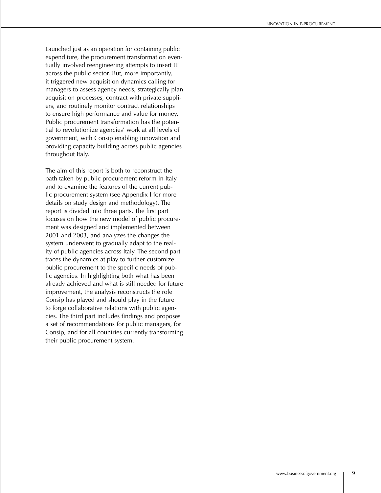Launched just as an operation for containing public expenditure, the procurement transformation eventually involved reengineering attempts to insert IT across the public sector. But, more importantly, it triggered new acquisition dynamics calling for managers to assess agency needs, strategically plan acquisition processes, contract with private suppliers, and routinely monitor contract relationships to ensure high performance and value for money. Public procurement transformation has the potential to revolutionize agencies' work at all levels of government, with Consip enabling innovation and providing capacity building across public agencies throughout Italy.

The aim of this report is both to reconstruct the path taken by public procurement reform in Italy and to examine the features of the current public procurement system (see Appendix I for more details on study design and methodology). The report is divided into three parts. The first part focuses on how the new model of public procurement was designed and implemented between 2001 and 2003, and analyzes the changes the system underwent to gradually adapt to the reality of public agencies across Italy. The second part traces the dynamics at play to further customize public procurement to the specific needs of public agencies. In highlighting both what has been already achieved and what is still needed for future improvement, the analysis reconstructs the role Consip has played and should play in the future to forge collaborative relations with public agencies. The third part includes findings and proposes a set of recommendations for public managers, for Consip, and for all countries currently transforming their public procurement system.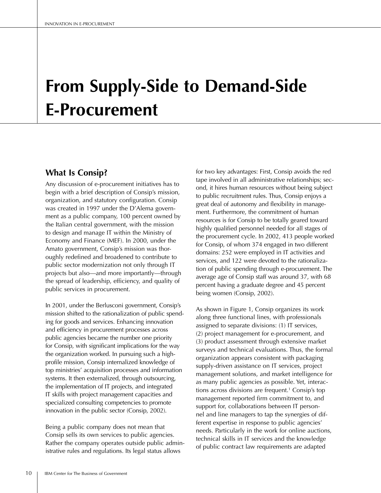# **From Supply-Side to Demand-Side E-Procurement**

# **What Is Consip?**

Any discussion of e-procurement initiatives has to begin with a brief description of Consip's mission, organization, and statutory configuration. Consip was created in 1997 under the D'Alema government as a public company, 100 percent owned by the Italian central government, with the mission to design and manage IT within the Ministry of Economy and Finance (MEF). In 2000, under the Amato government, Consip's mission was thoroughly redefined and broadened to contribute to public sector modernization not only through IT projects but also—and more importantly—through the spread of leadership, efficiency, and quality of public services in procurement.

In 2001, under the Berlusconi government, Consip's mission shifted to the rationalization of public spending for goods and services. Enhancing innovation and efficiency in procurement processes across public agencies became the number one priority for Consip, with significant implications for the way the organization worked. In pursuing such a highprofile mission, Consip internalized knowledge of top ministries' acquisition processes and information systems. It then externalized, through outsourcing, the implementation of IT projects, and integrated IT skills with project management capacities and specialized consulting competencies to promote innovation in the public sector (Consip, 2002).

Being a public company does not mean that Consip sells its own services to public agencies. Rather the company operates outside public administrative rules and regulations. Its legal status allows

for two key advantages: First, Consip avoids the red tape involved in all administrative relationships; second, it hires human resources without being subject to public recruitment rules. Thus, Consip enjoys a great deal of autonomy and flexibility in management. Furthermore, the commitment of human resources is for Consip to be totally geared toward highly qualified personnel needed for all stages of the procurement cycle. In 2002, 413 people worked for Consip, of whom 374 engaged in two different domains: 252 were employed in IT activities and services, and 122 were devoted to the rationalization of public spending through e-procurement. The average age of Consip staff was around 37, with 68 percent having a graduate degree and 45 percent being women (Consip, 2002).

As shown in Figure 1, Consip organizes its work along three functional lines, with professionals assigned to separate divisions: (1) IT services, (2) project management for e-procurement, and (3) product assessment through extensive market surveys and technical evaluations. Thus, the formal organization appears consistent with packaging supply-driven assistance on IT services, project management solutions, and market intelligence for as many public agencies as possible. Yet, interactions across divisions are frequent.<sup>1</sup> Consip's top management reported firm commitment to, and support for, collaborations between IT personnel and line managers to tap the synergies of different expertise in response to public agencies' needs. Particularly in the work for online auctions, technical skills in IT services and the knowledge of public contract law requirements are adapted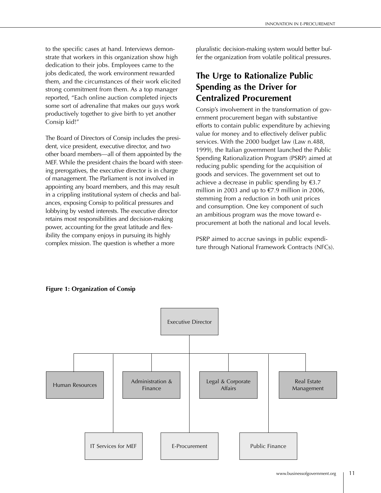to the specific cases at hand. Interviews demonstrate that workers in this organization show high dedication to their jobs. Employees came to the jobs dedicated, the work environment rewarded them, and the circumstances of their work elicited strong commitment from them. As a top manager reported, "Each online auction completed injects some sort of adrenaline that makes our guys work productively together to give birth to yet another Consip kid!"

The Board of Directors of Consip includes the president, vice president, executive director, and two other board members—all of them appointed by the MEF. While the president chairs the board with steering prerogatives, the executive director is in charge of management. The Parliament is not involved in appointing any board members, and this may result in a crippling institutional system of checks and balances, exposing Consip to political pressures and lobbying by vested interests. The executive director retains most responsibilities and decision-making power, accounting for the great latitude and flexibility the company enjoys in pursuing its highly complex mission. The question is whether a more

pluralistic decision-making system would better buffer the organization from volatile political pressures.

# **The Urge to Rationalize Public Spending as the Driver for Centralized Procurement**

Consip's involvement in the transformation of government procurement began with substantive efforts to contain public expenditure by achieving value for money and to effectively deliver public services. With the 2000 budget law (Law n.488, 1999), the Italian government launched the Public Spending Rationalization Program (PSRP) aimed at reducing public spending for the acquisition of goods and services. The government set out to achieve a decrease in public spending by  $\epsilon$ 3.7 million in 2003 and up to  $E$ 7.9 million in 2006, stemming from a reduction in both unit prices and consumption. One key component of such an ambitious program was the move toward eprocurement at both the national and local levels.

PSRP aimed to accrue savings in public expenditure through National Framework Contracts (NFCs).



### **Figure 1: Organization of Consip**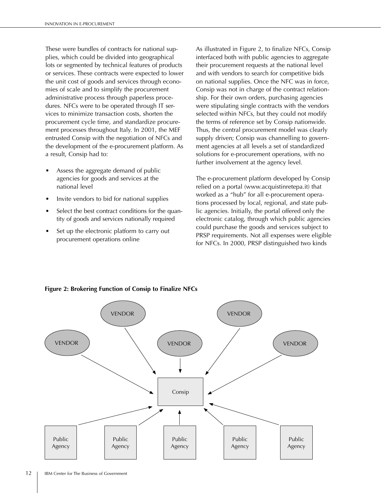These were bundles of contracts for national supplies, which could be divided into geographical lots or segmented by technical features of products or services. These contracts were expected to lower the unit cost of goods and services through economies of scale and to simplify the procurement administrative process through paperless procedures. NFCs were to be operated through IT services to minimize transaction costs, shorten the procurement cycle time, and standardize procurement processes throughout Italy. In 2001, the MEF entrusted Consip with the negotiation of NFCs and the development of the e-procurement platform. As a result, Consip had to:

- Assess the aggregate demand of public agencies for goods and services at the national level
- Invite vendors to bid for national supplies
- Select the best contract conditions for the quantity of goods and services nationally required
- Set up the electronic platform to carry out procurement operations online

As illustrated in Figure 2, to finalize NFCs, Consip interfaced both with public agencies to aggregate their procurement requests at the national level and with vendors to search for competitive bids on national supplies. Once the NFC was in force, Consip was not in charge of the contract relationship. For their own orders, purchasing agencies were stipulating single contracts with the vendors selected within NFCs, but they could not modify the terms of reference set by Consip nationwide. Thus, the central procurement model was clearly supply driven; Consip was channelling to government agencies at all levels a set of standardized solutions for e-procurement operations, with no further involvement at the agency level.

The e-procurement platform developed by Consip relied on a portal (www.acquistinretepa.it) that worked as a "hub" for all e-procurement operations processed by local, regional, and state public agencies. Initially, the portal offered only the electronic catalog, through which public agencies could purchase the goods and services subject to PRSP requirements. Not all expenses were eligible for NFCs. In 2000, PRSP distinguished two kinds



### **Figure 2: Brokering Function of Consip to Finalize NFCs**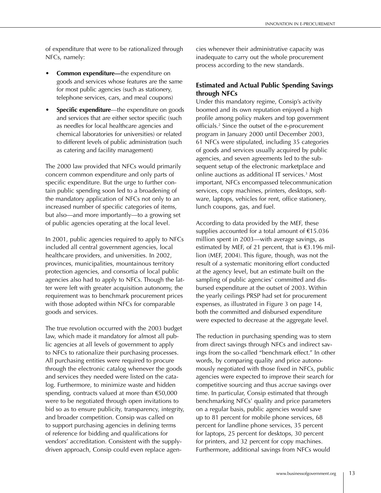of expenditure that were to be rationalized through NFCs, namely:

- **Common expenditure—**the expenditure on goods and services whose features are the same for most public agencies (such as stationery, telephone services, cars, and meal coupons)
- **Specific expenditure—the expenditure on goods** and services that are either sector specific (such as needles for local healthcare agencies and chemical laboratories for universities) or related to different levels of public administration (such as catering and facility management)

The 2000 law provided that NFCs would primarily concern common expenditure and only parts of specific expenditure. But the urge to further contain public spending soon led to a broadening of the mandatory application of NFCs not only to an increased number of specific categories of items, but also—and more importantly—to a growing set of public agencies operating at the local level.

In 2001, public agencies required to apply to NFCs included all central government agencies, local healthcare providers, and universities. In 2002, provinces, municipalities, mountainous territory protection agencies, and consortia of local public agencies also had to apply to NFCs. Though the latter were left with greater acquisition autonomy, the requirement was to benchmark procurement prices with those adopted within NFCs for comparable goods and services.

The true revolution occurred with the 2003 budget law, which made it mandatory for almost all public agencies at all levels of government to apply to NFCs to rationalize their purchasing processes. All purchasing entities were required to procure through the electronic catalog whenever the goods and services they needed were listed on the catalog. Furthermore, to minimize waste and hidden spending, contracts valued at more than €50,000 were to be negotiated through open invitations to bid so as to ensure publicity, transparency, integrity, and broader competition. Consip was called on to support purchasing agencies in defining terms of reference for bidding and qualifications for vendors' accreditation. Consistent with the supplydriven approach, Consip could even replace agencies whenever their administrative capacity was inadequate to carry out the whole procurement process according to the new standards.

### **Estimated and Actual Public Spending Savings through NFCs**

Under this mandatory regime, Consip's activity boomed and its own reputation enjoyed a high profile among policy makers and top government officials.2 Since the outset of the e-procurement program in January 2000 until December 2003, 61 NFCs were stipulated, including 35 categories of goods and services usually acquired by public agencies, and seven agreements led to the subsequent setup of the electronic marketplace and online auctions as additional IT services.3 Most important, NFCs encompassed telecommunication services, copy machines, printers, desktops, software, laptops, vehicles for rent, office stationery, lunch coupons, gas, and fuel.

According to data provided by the MEF, these supplies accounted for a total amount of  $£15.036$ million spent in 2003—with average savings, as estimated by MEF, of 21 percent, that is €3.196 million (MEF, 2004). This figure, though, was not the result of a systematic monitoring effort conducted at the agency level, but an estimate built on the sampling of public agencies' committed and disbursed expenditure at the outset of 2003. Within the yearly ceilings PRSP had set for procurement expenses, as illustrated in Figure 3 on page 14, both the committed and disbursed expenditure were expected to decrease at the aggregate level.

The reduction in purchasing spending was to stem from direct savings through NFCs and indirect savings from the so-called "benchmark effect." In other words, by comparing quality and price autonomously negotiated with those fixed in NFCs, public agencies were expected to improve their search for competitive sourcing and thus accrue savings over time. In particular, Consip estimated that through benchmarking NFCs' quality and price parameters on a regular basis, public agencies would save up to 81 percent for mobile phone services, 68 percent for landline phone services, 35 percent for laptops, 25 percent for desktops, 30 percent for printers, and 32 percent for copy machines. Furthermore, additional savings from NFCs would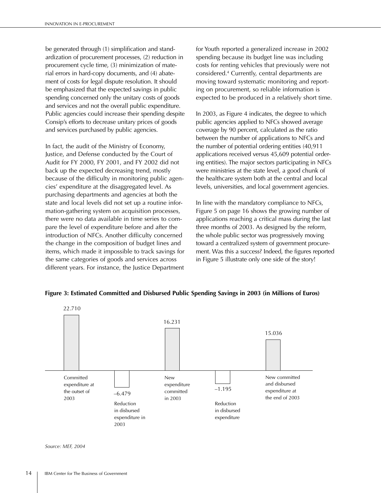be generated through (1) simplification and standardization of procurement processes, (2) reduction in procurement cycle time, (3) minimization of material errors in hard-copy documents, and (4) abatement of costs for legal dispute resolution. It should be emphasized that the expected savings in public spending concerned only the unitary costs of goods and services and not the overall public expenditure. Public agencies could increase their spending despite Consip's efforts to decrease unitary prices of goods and services purchased by public agencies.

In fact, the audit of the Ministry of Economy, Justice, and Defense conducted by the Court of Audit for FY 2000, FY 2001, and FY 2002 did not back up the expected decreasing trend, mostly because of the difficulty in monitoring public agencies' expenditure at the disaggregated level. As purchasing departments and agencies at both the state and local levels did not set up a routine information-gathering system on acquisition processes, there were no data available in time series to compare the level of expenditure before and after the introduction of NFCs. Another difficulty concerned the change in the composition of budget lines and items, which made it impossible to track savings for the same categories of goods and services across different years. For instance, the Justice Department for Youth reported a generalized increase in 2002 spending because its budget line was including costs for renting vehicles that previously were not considered.4 Currently, central departments are moving toward systematic monitoring and reporting on procurement, so reliable information is expected to be produced in a relatively short time.

In 2003, as Figure 4 indicates, the degree to which public agencies applied to NFCs showed average coverage by 90 percent, calculated as the ratio between the number of applications to NFCs and the number of potential ordering entities (40,911 applications received versus 45,609 potential ordering entities). The major sectors participating in NFCs were ministries at the state level, a good chunk of the healthcare system both at the central and local levels, universities, and local government agencies.

In line with the mandatory compliance to NFCs, Figure 5 on page 16 shows the growing number of applications reaching a critical mass during the last three months of 2003. As designed by the reform, the whole public sector was progressively moving toward a centralized system of government procurement. Was this a success? Indeed, the figures reported in Figure 5 illustrate only one side of the story!



#### **Figure 3: Estimated Committed and Disbursed Public Spending Savings in 2003 (in Millions of Euros)**

*Source: MEF, 2004*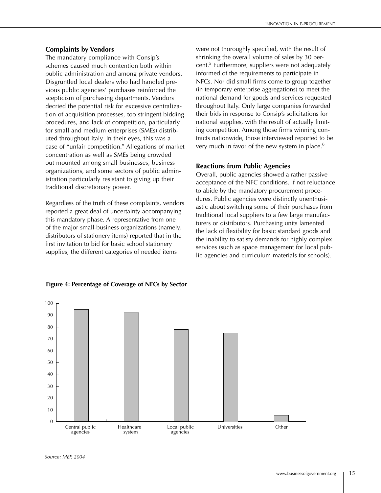### **Complaints by Vendors**

The mandatory compliance with Consip's schemes caused much contention both within public administration and among private vendors. Disgruntled local dealers who had handled previous public agencies' purchases reinforced the scepticism of purchasing departments. Vendors decried the potential risk for excessive centralization of acquisition processes, too stringent bidding procedures, and lack of competition, particularly for small and medium enterprises (SMEs) distributed throughout Italy. In their eyes, this was a case of "unfair competition." Allegations of market concentration as well as SMEs being crowded out mounted among small businesses, business organizations, and some sectors of public administration particularly resistant to giving up their traditional discretionary power.

Regardless of the truth of these complaints, vendors reported a great deal of uncertainty accompanying this mandatory phase. A representative from one of the major small-business organizations (namely, distributors of stationery items) reported that in the first invitation to bid for basic school stationery supplies, the different categories of needed items

were not thoroughly specified, with the result of shrinking the overall volume of sales by 30 percent.<sup>5</sup> Furthermore, suppliers were not adequately informed of the requirements to participate in NFCs. Nor did small firms come to group together (in temporary enterprise aggregations) to meet the national demand for goods and services requested throughout Italy. Only large companies forwarded their bids in response to Consip's solicitations for national supplies, with the result of actually limiting competition. Among those firms winning contracts nationwide, those interviewed reported to be very much in favor of the new system in place.<sup>6</sup>

### **Reactions from Public Agencies**

Overall, public agencies showed a rather passive acceptance of the NFC conditions, if not reluctance to abide by the mandatory procurement procedures. Public agencies were distinctly unenthusiastic about switching some of their purchases from traditional local suppliers to a few large manufacturers or distributors. Purchasing units lamented the lack of flexibility for basic standard goods and the inability to satisfy demands for highly complex services (such as space management for local public agencies and curriculum materials for schools).



**Figure 4: Percentage of Coverage of NFCs by Sector**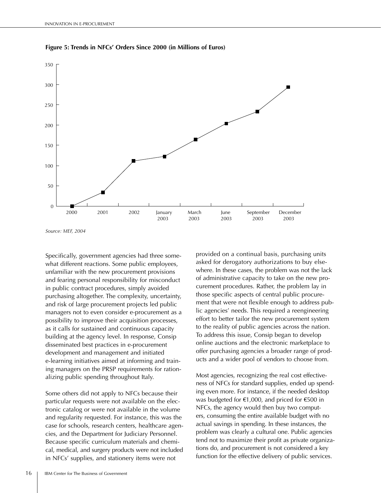

**Figure 5: Trends in NFCs' Orders Since 2000 (in Millions of Euros)**

*Source: MEF, 2004*

Specifically, government agencies had three somewhat different reactions. Some public employees, unfamiliar with the new procurement provisions and fearing personal responsibility for misconduct in public contract procedures, simply avoided purchasing altogether. The complexity, uncertainty, and risk of large procurement projects led public managers not to even consider e-procurement as a possibility to improve their acquisition processes, as it calls for sustained and continuous capacity building at the agency level. In response, Consip disseminated best practices in e-procurement development and management and initiated e-learning initiatives aimed at informing and training managers on the PRSP requirements for rationalizing public spending throughout Italy.

Some others did not apply to NFCs because their particular requests were not available on the electronic catalog or were not available in the volume and regularity requested. For instance, this was the case for schools, research centers, healthcare agencies, and the Department for Judiciary Personnel. Because specific curriculum materials and chemical, medical, and surgery products were not included in NFCs' supplies, and stationery items were not

provided on a continual basis, purchasing units asked for derogatory authorizations to buy elsewhere. In these cases, the problem was not the lack of administrative capacity to take on the new procurement procedures. Rather, the problem lay in those specific aspects of central public procurement that were not flexible enough to address public agencies' needs. This required a reengineering effort to better tailor the new procurement system to the reality of public agencies across the nation. To address this issue, Consip began to develop online auctions and the electronic marketplace to offer purchasing agencies a broader range of products and a wider pool of vendors to choose from.

Most agencies, recognizing the real cost effectiveness of NFCs for standard supplies, ended up spending even more. For instance, if the needed desktop was budgeted for €1,000, and priced for €500 in NFCs, the agency would then buy two computers, consuming the entire available budget with no actual savings in spending. In these instances, the problem was clearly a cultural one. Public agencies tend not to maximize their profit as private organizations do, and procurement is not considered a key function for the effective delivery of public services.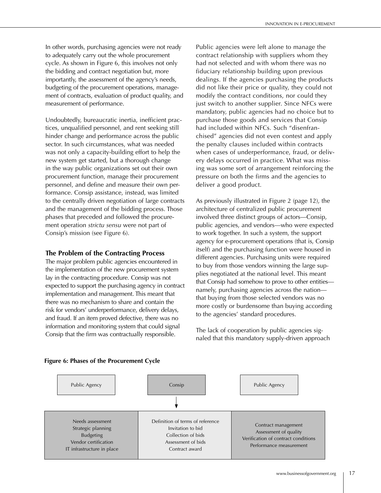In other words, purchasing agencies were not ready to adequately carry out the whole procurement cycle. As shown in Figure 6, this involves not only the bidding and contract negotiation but, more importantly, the assessment of the agency's needs, budgeting of the procurement operations, management of contracts, evaluation of product quality, and measurement of performance.

Undoubtedly, bureaucratic inertia, inefficient practices, unqualified personnel, and rent seeking still hinder change and performance across the public sector. In such circumstances, what was needed was not only a capacity-building effort to help the new system get started, but a thorough change in the way public organizations set out their own procurement function, manage their procurement personnel, and define and measure their own performance. Consip assistance, instead, was limited to the centrally driven negotiation of large contracts and the management of the bidding process. Those phases that preceded and followed the procurement operation *strictu sensu* were not part of Consip's mission (see Figure 6).

### **The Problem of the Contracting Process**

The major problem public agencies encountered in the implementation of the new procurement system lay in the contracting procedure. Consip was not expected to support the purchasing agency in contract implementation and management. This meant that there was no mechanism to share and contain the risk for vendors' underperformance, delivery delays, and fraud. If an item proved defective, there was no information and monitoring system that could signal Consip that the firm was contractually responsible.

Public agencies were left alone to manage the contract relationship with suppliers whom they had not selected and with whom there was no fiduciary relationship building upon previous dealings. If the agencies purchasing the products did not like their price or quality, they could not modify the contract conditions, nor could they just switch to another supplier. Since NFCs were mandatory, public agencies had no choice but to purchase those goods and services that Consip had included within NFCs. Such "disenfranchised" agencies did not even contest and apply the penalty clauses included within contracts when cases of underperformance, fraud, or delivery delays occurred in practice. What was missing was some sort of arrangement reinforcing the pressure on both the firms and the agencies to deliver a good product.

As previously illustrated in Figure 2 (page 12), the architecture of centralized public procurement involved three distinct groups of actors—Consip, public agencies, and vendors—who were expected to work together. In such a system, the support agency for e-procurement operations (that is, Consip itself) and the purchasing function were housed in different agencies. Purchasing units were required to buy from those vendors winning the large supplies negotiated at the national level. This meant that Consip had somehow to prove to other entities namely, purchasing agencies across the nation that buying from those selected vendors was no more costly or burdensome than buying according to the agencies' standard procedures.

The lack of cooperation by public agencies signaled that this mandatory supply-driven approach



### **Figure 6: Phases of the Procurement Cycle**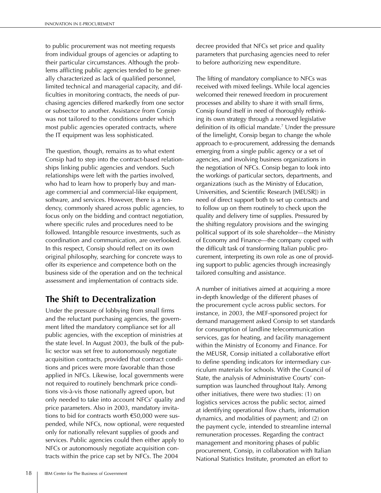to public procurement was not meeting requests from individual groups of agencies or adapting to their particular circumstances. Although the problems afflicting public agencies tended to be generally characterized as lack of qualified personnel, limited technical and managerial capacity, and difficulties in monitoring contracts, the needs of purchasing agencies differed markedly from one sector or subsector to another. Assistance from Consip was not tailored to the conditions under which most public agencies operated contracts, where the IT equipment was less sophisticated.

The question, though, remains as to what extent Consip had to step into the contract-based relationships linking public agencies and vendors. Such relationships were left with the parties involved, who had to learn how to properly buy and manage commercial and commercial-like equipment, software, and services. However, there is a tendency, commonly shared across public agencies, to focus only on the bidding and contract negotiation, where specific rules and procedures need to be followed. Intangible resource investments, such as coordination and communication, are overlooked. In this respect, Consip should reflect on its own original philosophy, searching for concrete ways to offer its experience and competence both on the business side of the operation and on the technical assessment and implementation of contracts side.

# **The Shift to Decentralization**

Under the pressure of lobbying from small firms and the reluctant purchasing agencies, the government lifted the mandatory compliance set for all public agencies, with the exception of ministries at the state level. In August 2003, the bulk of the public sector was set free to autonomously negotiate acquisition contracts, provided that contract conditions and prices were more favorable than those applied in NFCs. Likewise, local governments were not required to routinely benchmark price conditions vis-à-vis those nationally agreed upon, but only needed to take into account NFCs' quality and price parameters. Also in 2003, mandatory invitations to bid for contracts worth €50,000 were suspended, while NFCs, now optional, were requested only for nationally relevant supplies of goods and services. Public agencies could then either apply to NFCs or autonomously negotiate acquisition contracts within the price cap set by NFCs. The 2004

decree provided that NFCs set price and quality parameters that purchasing agencies need to refer to before authorizing new expenditure.

The lifting of mandatory compliance to NFCs was received with mixed feelings. While local agencies welcomed their renewed freedom in procurement processes and ability to share it with small firms, Consip found itself in need of thoroughly rethinking its own strategy through a renewed legislative definition of its official mandate.7 Under the pressure of the limelight, Consip began to change the whole approach to e-procurement, addressing the demands emerging from a single public agency or a set of agencies, and involving business organizations in the negotiation of NFCs. Consip began to look into the workings of particular sectors, departments, and organizations (such as the Ministry of Education, Universities, and Scientific Research [MEUSR]) in need of direct support both to set up contracts and to follow up on them routinely to check upon the quality and delivery time of supplies. Pressured by the shifting regulatory provisions and the swinging political support of its sole shareholder—the Ministry of Economy and Finance—the company coped with the difficult task of transforming Italian public procurement, interpreting its own role as one of providing support to public agencies through increasingly tailored consulting and assistance.

A number of initiatives aimed at acquiring a more in-depth knowledge of the different phases of the procurement cycle across public sectors. For instance, in 2003, the MEF-sponsored project for demand management asked Consip to set standards for consumption of landline telecommunication services, gas for heating, and facility management within the Ministry of Economy and Finance. For the MEUSR, Consip initiated a collaborative effort to define spending indicators for intermediary curriculum materials for schools. With the Council of State, the analysis of Administrative Courts' consumption was launched throughout Italy. Among other initiatives, there were two studies: (1) on logistics services across the public sector, aimed at identifying operational flow charts, information dynamics, and modalities of payment; and (2) on the payment cycle, intended to streamline internal remuneration processes. Regarding the contract management and monitoring phases of public procurement, Consip, in collaboration with Italian National Statistics Institute, promoted an effort to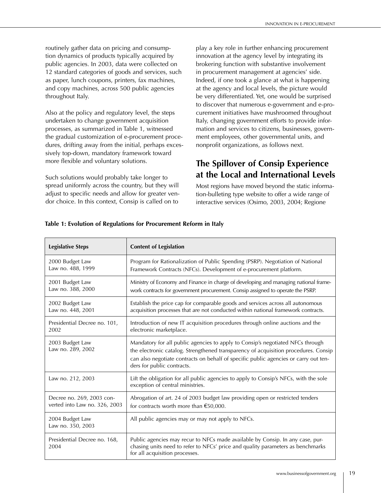routinely gather data on pricing and consumption dynamics of products typically acquired by public agencies. In 2003, data were collected on 12 standard categories of goods and services, such as paper, lunch coupons, printers, fax machines, and copy machines, across 500 public agencies throughout Italy.

Also at the policy and regulatory level, the steps undertaken to change government acquisition processes, as summarized in Table 1, witnessed the gradual customization of e-procurement procedures, drifting away from the initial, perhaps excessively top-down, mandatory framework toward more flexible and voluntary solutions.

Such solutions would probably take longer to spread uniformly across the country, but they will adjust to specific needs and allow for greater vendor choice. In this context, Consip is called on to

play a key role in further enhancing procurement innovation at the agency level by integrating its brokering function with substantive involvement in procurement management at agencies' side. Indeed, if one took a glance at what is happening at the agency and local levels, the picture would be very differentiated. Yet, one would be surprised to discover that numerous e-government and e-procurement initiatives have mushroomed throughout Italy, changing government efforts to provide information and services to citizens, businesses, government employees, other governmental units, and nonprofit organizations, as follows next.

# **The Spillover of Consip Experience at the Local and International Levels**

Most regions have moved beyond the static information-bulleting type website to offer a wide range of interactive services (Osimo, 2003, 2004; Regione

| <b>Legislative Steps</b>             | <b>Content of Legislation</b>                                                                                                                                                                                                                                                               |  |
|--------------------------------------|---------------------------------------------------------------------------------------------------------------------------------------------------------------------------------------------------------------------------------------------------------------------------------------------|--|
| 2000 Budget Law                      | Program for Rationalization of Public Spending (PSRP). Negotiation of National                                                                                                                                                                                                              |  |
| Law no. 488, 1999                    | Framework Contracts (NFCs). Development of e-procurement platform.                                                                                                                                                                                                                          |  |
| 2001 Budget Law                      | Ministry of Economy and Finance in charge of developing and managing national frame-                                                                                                                                                                                                        |  |
| Law no. 388, 2000                    | work contracts for government procurement. Consip assigned to operate the PSRP.                                                                                                                                                                                                             |  |
| 2002 Budget Law                      | Establish the price cap for comparable goods and services across all autonomous                                                                                                                                                                                                             |  |
| Law no. 448, 2001                    | acquisition processes that are not conducted within national framework contracts.                                                                                                                                                                                                           |  |
| Presidential Decree no. 101,         | Introduction of new IT acquisition procedures through online auctions and the                                                                                                                                                                                                               |  |
| 2002                                 | electronic marketplace.                                                                                                                                                                                                                                                                     |  |
| 2003 Budget Law<br>Law no. 289, 2002 | Mandatory for all public agencies to apply to Consip's negotiated NFCs through<br>the electronic catalog. Strengthened transparency of acquisition procedures. Consip<br>can also negotiate contracts on behalf of specific public agencies or carry out ten-<br>ders for public contracts. |  |
| Law no. 212, 2003                    | Lift the obligation for all public agencies to apply to Consip's NFCs, with the sole<br>exception of central ministries.                                                                                                                                                                    |  |
| Decree no. 269, 2003 con-            | Abrogation of art. 24 of 2003 budget law providing open or restricted tenders                                                                                                                                                                                                               |  |
| verted into Law no. 326, 2003        | for contracts worth more than $€50,000$ .                                                                                                                                                                                                                                                   |  |
| 2004 Budget Law<br>Law no. 350, 2003 | All public agencies may or may not apply to NFCs.                                                                                                                                                                                                                                           |  |
| Presidential Decree no. 168,<br>2004 | Public agencies may recur to NFCs made available by Consip. In any case, pur-<br>chasing units need to refer to NFCs' price and quality parameters as benchmarks<br>for all acquisition processes.                                                                                          |  |

### **Table 1: Evolution of Regulations for Procurement Reform in Italy**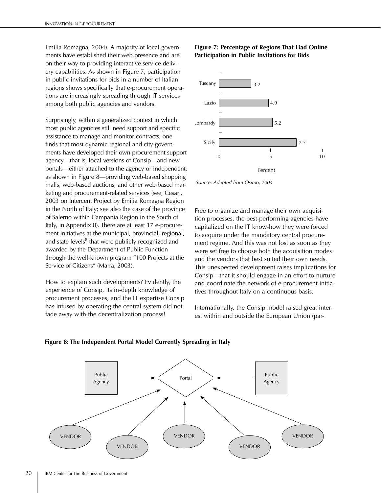Emilia Romagna, 2004). A majority of local governments have established their web presence and are on their way to providing interactive service delivery capabilities. As shown in Figure 7, participation in public invitations for bids in a number of Italian regions shows specifically that e-procurement operations are increasingly spreading through IT services among both public agencies and vendors.

Surprisingly, within a generalized context in which most public agencies still need support and specific assistance to manage and monitor contracts, one finds that most dynamic regional and city governments have developed their own procurement support agency—that is, local versions of Consip—and new portals—either attached to the agency or independent, as shown in Figure 8—providing web-based shopping malls, web-based auctions, and other web-based marketing and procurement-related services (see, Cesari, 2003 on Intercent Project by Emilia Romagna Region in the North of Italy; see also the case of the province of Salerno within Campania Region in the South of Italy, in Appendix II). There are at least 17 e-procurement initiatives at the municipal, provincial, regional, and state levels<sup>8</sup> that were publicly recognized and awarded by the Department of Public Function through the well-known program "100 Projects at the Service of Citizens" (Marra, 2003).

How to explain such developments? Evidently, the experience of Consip, its in-depth knowledge of procurement processes, and the IT expertise Consip has infused by operating the central system did not fade away with the decentralization process!

### **Figure 7: Percentage of Regions That Had Online Participation in Public Invitations for Bids**



*Source: Adapted from Osimo, 2004*

Free to organize and manage their own acquisition processes, the best-performing agencies have capitalized on the IT know-how they were forced to acquire under the mandatory central procurement regime. And this was not lost as soon as they were set free to choose both the acquisition modes and the vendors that best suited their own needs. This unexpected development raises implications for Consip—that it should engage in an effort to nurture and coordinate the network of e-procurement initiatives throughout Italy on a continuous basis.

Internationally, the Consip model raised great interest within and outside the European Union (par-



**Figure 8: The Independent Portal Model Currently Spreading in Italy**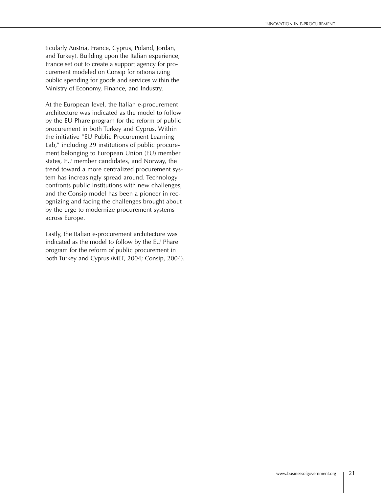ticularly Austria, France, Cyprus, Poland, Jordan, and Turkey). Building upon the Italian experience, France set out to create a support agency for procurement modeled on Consip for rationalizing public spending for goods and services within the Ministry of Economy, Finance, and Industry.

At the European level, the Italian e-procurement architecture was indicated as the model to follow by the EU Phare program for the reform of public procurement in both Turkey and Cyprus. Within the initiative "EU Public Procurement Learning Lab," including 29 institutions of public procurement belonging to European Union (EU) member states, EU member candidates, and Norway, the trend toward a more centralized procurement system has increasingly spread around. Technology confronts public institutions with new challenges, and the Consip model has been a pioneer in recognizing and facing the challenges brought about by the urge to modernize procurement systems across Europe.

Lastly, the Italian e-procurement architecture was indicated as the model to follow by the EU Phare program for the reform of public procurement in both Turkey and Cyprus (MEF, 2004; Consip, 2004).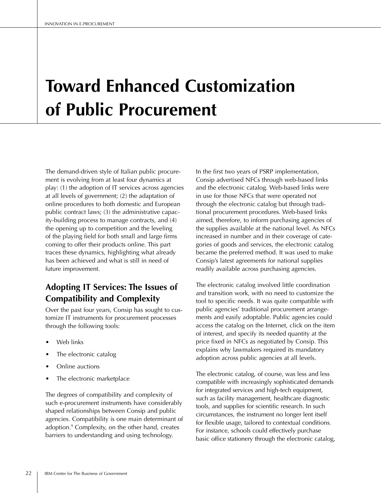# **Toward Enhanced Customization of Public Procurement**

The demand-driven style of Italian public procurement is evolving from at least four dynamics at play: (1) the adoption of IT services across agencies at all levels of government; (2) the adaptation of online procedures to both domestic and European public contract laws; (3) the administrative capacity-building process to manage contracts, and (4) the opening up to competition and the leveling of the playing field for both small and large firms coming to offer their products online. This part traces these dynamics, highlighting what already has been achieved and what is still in need of future improvement.

# **Adopting IT Services: The Issues of Compatibility and Complexity**

Over the past four years, Consip has sought to customize IT instruments for procurement processes through the following tools:

- Web links
- The electronic catalog
- Online auctions
- The electronic marketplace

The degrees of compatibility and complexity of such e-procurement instruments have considerably shaped relationships between Consip and public agencies. Compatibility is one main determinant of adoption.9 Complexity, on the other hand, creates barriers to understanding and using technology.

In the first two years of PSRP implementation, Consip advertised NFCs through web-based links and the electronic catalog. Web-based links were in use for those NFCs that were operated not through the electronic catalog but through traditional procurement procedures. Web-based links aimed, therefore, to inform purchasing agencies of the supplies available at the national level. As NFCs increased in number and in their coverage of categories of goods and services, the electronic catalog became the preferred method. It was used to make Consip's latest agreements for national supplies readily available across purchasing agencies.

The electronic catalog involved little coordination and transition work, with no need to customize the tool to specific needs. It was quite compatible with public agencies' traditional procurement arrangements and easily adoptable. Public agencies could access the catalog on the Internet, click on the item of interest, and specify its needed quantity at the price fixed in NFCs as negotiated by Consip. This explains why lawmakers required its mandatory adoption across public agencies at all levels.

The electronic catalog, of course, was less and less compatible with increasingly sophisticated demands for integrated services and high-tech equipment, such as facility management, healthcare diagnostic tools, and supplies for scientific research. In such circumstances, the instrument no longer lent itself for flexible usage, tailored to contextual conditions. For instance, schools could effectively purchase basic office stationery through the electronic catalog,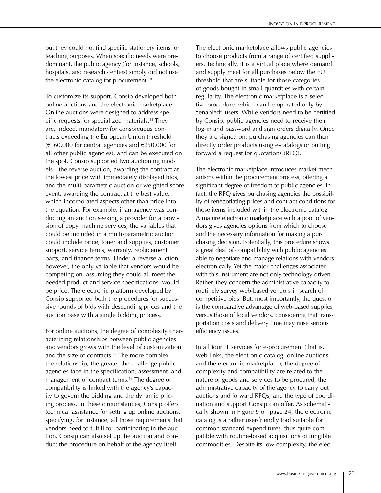but they could not find specific stationery items for teaching purposes. When specific needs were predominant, the public agency (for instance, schools, hospitals, and research centers) simply did not use the electronic catalog for procurement.10

To customize its support, Consip developed both online auctions and the electronic marketplace. Online auctions were designed to address specific requests for specialized materials.11 They are, indeed, mandatory for conspicuous contracts exceeding the European Union threshold (€160,000 for central agencies and €250,000 for all other public agencies), and can be executed on the spot. Consip supported two auctioning models—the reverse auction, awarding the contract at the lowest price with immediately displayed bids, and the multi-parametric auction or weighted-score event, awarding the contract at the best value, which incorporated aspects other than price into the equation. For example, if an agency was conducting an auction seeking a provider for a provision of copy machine services, the variables that could be included in a multi-parametric auction could include price, toner and supplies, customer support, service terms, warranty, replacement parts, and finance terms. Under a reverse auction, however, the only variable that vendors would be competing on, assuming they could all meet the needed product and service specifications, would be price. The electronic platform developed by Consip supported both the procedures for successive rounds of bids with descending prices and the auction base with a single bidding process.

For online auctions, the degree of complexity characterizing relationships between public agencies and vendors grows with the level of customization and the size of contracts.<sup>12</sup> The more complex the relationship, the greater the challenge public agencies face in the specification, assessment, and management of contract terms.<sup>13</sup> The degree of compatibility is linked with the agency's capacity to govern the bidding and the dynamic pricing process. In these circumstances, Consip offers technical assistance for setting up online auctions, specifying, for instance, all those requirements that vendors need to fulfill for participating in the auction. Consip can also set up the auction and conduct the procedure on behalf of the agency itself.

The electronic marketplace allows public agencies to choose products from a range of certified suppliers. Technically, it is a virtual place where demand and supply meet for all purchases below the EU threshold that are suitable for those categories of goods bought in small quantities with certain regularity. The electronic marketplace is a selective procedure, which can be operated only by "enabled" users. While vendors need to be certified by Consip, public agencies need to receive their log-in and password and sign orders digitally. Once they are signed on, purchasing agencies can then directly order products using e-catalogs or putting forward a request for quotations (RFQ).

The electronic marketplace introduces market mechanisms within the procurement process, offering a significant degree of freedom to public agencies. In fact, the RFQ gives purchasing agencies the possibility of renegotiating prices and contract conditions for those items included within the electronic catalog. A mature electronic marketplace with a pool of vendors gives agencies options from which to choose and the necessary information for making a purchasing decision. Potentially, this procedure shows a great deal of compatibility with public agencies able to negotiate and manage relations with vendors electronically. Yet the major challenges associated with this instrument are not only technology driven. Rather, they concern the administrative capacity to routinely survey web-based vendors in search of competitive bids. But, most importantly, the question is the comparative advantage of web-based supplies versus those of local vendors, considering that transportation costs and delivery time may raise serious efficiency issues.

In all four IT services for e-procurement (that is, web links, the electronic catalog, online auctions, and the electronic marketplace), the degree of complexity and compatibility are related to the nature of goods and services to be procured, the administrative capacity of the agency to carry out auctions and forward RFQs, and the type of coordination and support Consip can offer. As schematically shown in Figure 9 on page 24, the electronic catalog is a rather user-friendly tool suitable for common standard expenditures, thus quite compatible with routine-based acquisitions of fungible commodities. Despite its low complexity, the elec-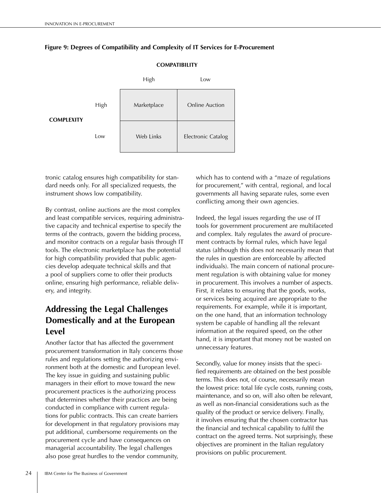

### **Figure 9: Degrees of Compatibility and Complexity of IT Services for E-Procurement**

tronic catalog ensures high compatibility for standard needs only. For all specialized requests, the instrument shows low compatibility.

By contrast, online auctions are the most complex and least compatible services, requiring administrative capacity and technical expertise to specify the terms of the contracts, govern the bidding process, and monitor contracts on a regular basis through IT tools. The electronic marketplace has the potential for high compatibility provided that public agencies develop adequate technical skills and that a pool of suppliers come to offer their products online, ensuring high performance, reliable delivery, and integrity.

# **Addressing the Legal Challenges Domestically and at the European Level**

Another factor that has affected the government procurement transformation in Italy concerns those rules and regulations setting the authorizing environment both at the domestic and European level. The key issue in guiding and sustaining public managers in their effort to move toward the new procurement practices is the authorizing process that determines whether their practices are being conducted in compliance with current regulations for public contracts. This can create barriers for development in that regulatory provisions may put additional, cumbersome requirements on the procurement cycle and have consequences on managerial accountability. The legal challenges also pose great hurdles to the vendor community,

which has to contend with a "maze of regulations" for procurement," with central, regional, and local governments all having separate rules, some even conflicting among their own agencies.

Indeed, the legal issues regarding the use of IT tools for government procurement are multifaceted and complex. Italy regulates the award of procurement contracts by formal rules, which have legal status (although this does not necessarily mean that the rules in question are enforceable by affected individuals). The main concern of national procurement regulation is with obtaining value for money in procurement. This involves a number of aspects. First, it relates to ensuring that the goods, works, or services being acquired are appropriate to the requirements. For example, while it is important, on the one hand, that an information technology system be capable of handling all the relevant information at the required speed, on the other hand, it is important that money not be wasted on unnecessary features.

Secondly, value for money insists that the specified requirements are obtained on the best possible terms. This does not, of course, necessarily mean the lowest price: total life cycle costs, running costs, maintenance, and so on, will also often be relevant, as well as non-financial considerations such as the quality of the product or service delivery. Finally, it involves ensuring that the chosen contractor has the financial and technical capability to fulfil the contract on the agreed terms. Not surprisingly, these objectives are prominent in the Italian regulatory provisions on public procurement.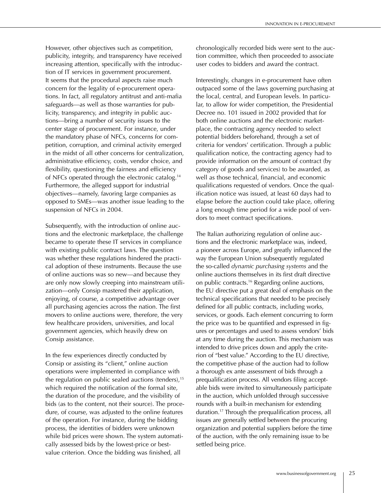However, other objectives such as competition, publicity, integrity, and transparency have received increasing attention, specifically with the introduction of IT services in government procurement. It seems that the procedural aspects raise much concern for the legality of e-procurement operations. In fact, all regulatory antitrust and anti-mafia safeguards—as well as those warranties for publicity, transparency, and integrity in public auctions—bring a number of security issues to the center stage of procurement. For instance, under the mandatory phase of NFCs, concerns for competition, corruption, and criminal activity emerged in the midst of all other concerns for centralization, administrative efficiency, costs, vendor choice, and flexibility, questioning the fairness and efficiency of NFCs operated through the electronic catalog.14 Furthermore, the alleged support for industrial objectives—namely, favoring large companies as opposed to SMEs—was another issue leading to the suspension of NFCs in 2004.

Subsequently, with the introduction of online auctions and the electronic marketplace, the challenge became to operate these IT services in compliance with existing public contract laws. The question was whether these regulations hindered the practical adoption of these instruments. Because the use of online auctions was so new—and because they are only now slowly creeping into mainstream utilization—only Consip mastered their application, enjoying, of course, a competitive advantage over all purchasing agencies across the nation. The first movers to online auctions were, therefore, the very few healthcare providers, universities, and local government agencies, which heavily drew on Consip assistance.

In the few experiences directly conducted by Consip or assisting its "client," online auction operations were implemented in compliance with the regulation on public sealed auctions (tenders), $15$ which required the notification of the formal site, the duration of the procedure, and the visibility of bids (as to the content, not their source). The procedure, of course, was adjusted to the online features of the operation. For instance, during the bidding process, the identities of bidders were unknown while bid prices were shown. The system automatically assessed bids by the lowest-price or bestvalue criterion. Once the bidding was finished, all

chronologically recorded bids were sent to the auction committee, which then proceeded to associate user codes to bidders and award the contract.

Interestingly, changes in e-procurement have often outpaced some of the laws governing purchasing at the local, central, and European levels. In particular, to allow for wider competition, the Presidential Decree no. 101 issued in 2002 provided that for both online auctions and the electronic marketplace, the contracting agency needed to select potential bidders beforehand, through a set of criteria for vendors' certification. Through a public qualification notice, the contracting agency had to provide information on the amount of contract (by category of goods and services) to be awarded, as well as those technical, financial, and economic qualifications requested of vendors. Once the qualification notice was issued, at least 60 days had to elapse before the auction could take place, offering a long enough time period for a wide pool of vendors to meet contract specifications.

The Italian authorizing regulation of online auctions and the electronic marketplace was, indeed, a pioneer across Europe, and greatly influenced the way the European Union subsequently regulated the so-called *dynamic purchasing systems* and the online auctions themselves in its first draft directive on public contracts.16 Regarding online auctions, the EU directive put a great deal of emphasis on the technical specifications that needed to be precisely defined for all public contracts, including works, services, or goods. Each element concurring to form the price was to be quantified and expressed in figures or percentages and used to assess vendors' bids at any time during the auction. This mechanism was intended to drive prices down and apply the criterion of "best value." According to the EU directive, the competitive phase of the auction had to follow a thorough ex ante assessment of bids through a prequalification process. All vendors filing acceptable bids were invited to simultaneously participate in the auction, which unfolded through successive rounds with a built-in mechanism for extending duration.17 Through the prequalification process, all issues are generally settled between the procuring organization and potential suppliers before the time of the auction, with the only remaining issue to be settled being price.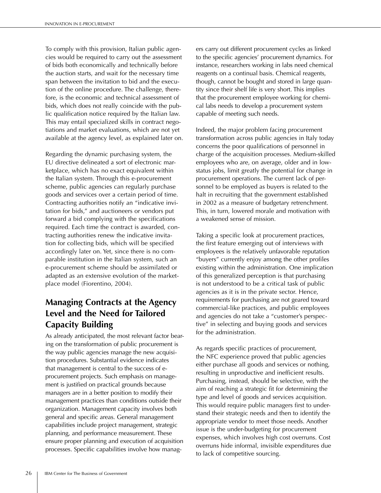To comply with this provision, Italian public agencies would be required to carry out the assessment of bids both economically and technically before the auction starts, and wait for the necessary time span between the invitation to bid and the execution of the online procedure. The challenge, therefore, is the economic and technical assessment of bids, which does not really coincide with the public qualification notice required by the Italian law. This may entail specialized skills in contract negotiations and market evaluations, which are not yet available at the agency level, as explained later on.

Regarding the dynamic purchasing system, the EU directive delineated a sort of electronic marketplace, which has no exact equivalent within the Italian system. Through this e-procurement scheme, public agencies can regularly purchase goods and services over a certain period of time. Contracting authorities notify an "indicative invitation for bids," and auctioneers or vendors put forward a bid complying with the specifications required. Each time the contract is awarded, contracting authorities renew the indicative invitation for collecting bids, which will be specified accordingly later on. Yet, since there is no comparable institution in the Italian system, such an e-procurement scheme should be assimilated or adapted as an extensive evolution of the marketplace model (Fiorentino, 2004).

# **Managing Contracts at the Agency Level and the Need for Tailored Capacity Building**

As already anticipated, the most relevant factor bearing on the transformation of public procurement is the way public agencies manage the new acquisition procedures. Substantial evidence indicates that management is central to the success of eprocurement projects. Such emphasis on management is justified on practical grounds because managers are in a better position to modify their management practices than conditions outside their organization. Management capacity involves both general and specific areas. General management capabilities include project management, strategic planning, and performance measurement. These ensure proper planning and execution of acquisition processes. Specific capabilities involve how managers carry out different procurement cycles as linked to the specific agencies' procurement dynamics. For instance, researchers working in labs need chemical reagents on a continual basis. Chemical reagents, though, cannot be bought and stored in large quantity since their shelf life is very short. This implies that the procurement employee working for chemical labs needs to develop a procurement system capable of meeting such needs.

Indeed, the major problem facing procurement transformation across public agencies in Italy today concerns the poor qualifications of personnel in charge of the acquisition processes. Medium-skilled employees who are, on average, older and in lowstatus jobs, limit greatly the potential for change in procurement operations. The current lack of personnel to be employed as buyers is related to the halt in recruiting that the government established in 2002 as a measure of budgetary retrenchment. This, in turn, lowered morale and motivation with a weakened sense of mission.

Taking a specific look at procurement practices, the first feature emerging out of interviews with employees is the relatively unfavorable reputation "buyers" currently enjoy among the other profiles existing within the administration. One implication of this generalized perception is that purchasing is not understood to be a critical task of public agencies as it is in the private sector. Hence, requirements for purchasing are not geared toward commercial-like practices, and public employees and agencies do not take a "customer's perspective" in selecting and buying goods and services for the administration.

As regards specific practices of procurement, the NFC experience proved that public agencies either purchase all goods and services or nothing, resulting in unproductive and inefficient results. Purchasing, instead, should be selective, with the aim of reaching a strategic fit for determining the type and level of goods and services acquisition. This would require public managers first to understand their strategic needs and then to identify the appropriate vendor to meet those needs. Another issue is the under-budgeting for procurement expenses, which involves high cost overruns. Cost overruns hide informal, invisible expenditures due to lack of competitive sourcing.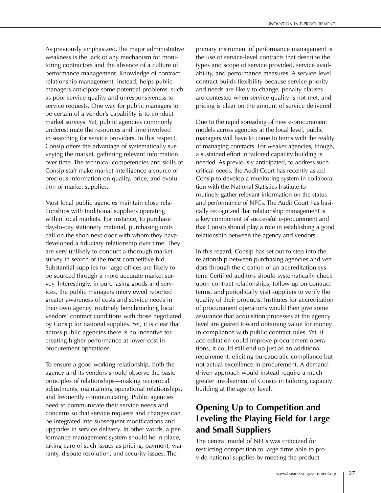As previously emphasized, the major administrative weakness is the lack of any mechanism for monitoring contractors and the absence of a culture of performance management. Knowledge of contract relationship management, instead, helps public managers anticipate some potential problems, such as poor service quality and unresponsiveness to service requests. One way for public managers to be certain of a vendor's capability is to conduct market surveys. Yet, public agencies commonly underestimate the resources and time involved in searching for service providers. In this respect, Consip offers the advantage of systematically surveying the market, gathering relevant information over time. The technical competencies and skills of Consip staff make market intelligence a source of precious information on quality, price, and evolution of market supplies.

Most local public agencies maintain close relationships with traditional suppliers operating within local markets. For instance, to purchase day-to-day stationery material, purchasing units call on the shop next-door with whom they have developed a fiduciary relationship over time. They are very unlikely to conduct a thorough market survey in search of the most competitive bid. Substantial supplies for large offices are likely to be sourced through a more accurate market survey. Interestingly, in purchasing goods and services, the public managers interviewed reported greater awareness of costs and service needs in their own agency, routinely benchmarking local vendors' contract conditions with those negotiated by Consip for national supplies. Yet, it is clear that across public agencies there is no incentive for creating higher performance at lower cost in procurement operations.

To ensure a good working relationship, both the agency and its vendors should observe the basic principles of relationships—making reciprocal adjustments, maintaining operational relationships, and frequently communicating. Public agencies need to communicate their service needs and concerns so that service requests and changes can be integrated into subsequent modifications and upgrades in service delivery. In other words, a performance management system should be in place, taking care of such issues as pricing, payment, warranty, dispute resolution, and security issues. The

primary instrument of performance management is the use of service-level contracts that describe the types and scope of service provided, service availability, and performance measures. A service-level contract builds flexibility because service priority and needs are likely to change, penalty clauses are contested when service quality is not met, and pricing is clear on the amount of service delivered.

Due to the rapid spreading of new e-procurement models across agencies at the local level, public managers will have to come to terms with the reality of managing contracts. For weaker agencies, though, a sustained effort in tailored capacity building is needed. As previously anticipated, to address such critical needs, the Audit Court has recently asked Consip to develop a monitoring system in collaboration with the National Statistics Institute to routinely gather relevant information on the status and performance of NFCs. The Audit Court has basically recognized that relationship management is a key component of successful e-procurement and that Consip should play a role in establishing a good relationship between the agency and vendors.

In this regard, Consip has set out to step into the relationship between purchasing agencies and vendors through the creation of an accreditation system. Certified auditors should systematically check upon contract relationships, follow up on contract terms, and periodically visit suppliers to verify the quality of their products. Institutes for accreditation of procurement operations would then give some assurance that acquisition processes at the agency level are geared toward obtaining value for money in compliance with public contract rules. Yet, if accreditation could improve procurement operations, it could still end up just as an additional requirement, eliciting bureaucratic compliance but not actual excellence in procurement. A demanddriven approach would instead require a much greater involvement of Consip in tailoring capacity building at the agency level.

# **Opening Up to Competition and Leveling the Playing Field for Large and Small Suppliers**

The central model of NFCs was criticized for restricting competition to large firms able to provide national supplies by meeting the product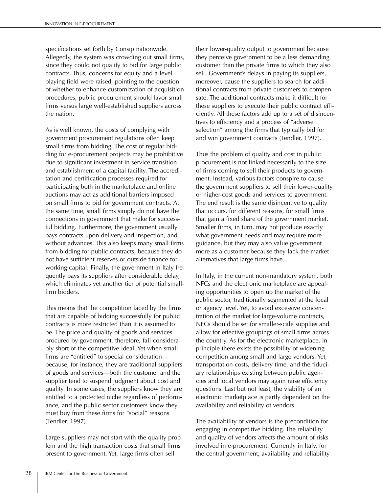specifications set forth by Consip nationwide. Allegedly, the system was crowding out small firms, since they could not qualify to bid for large public contracts. Thus, concerns for equity and a level playing field were raised, pointing to the question of whether to enhance customization of acquisition procedures, public procurement should favor small firms versus large well-established suppliers across the nation.

As is well known, the costs of complying with government procurement regulations often keep small firms from bidding. The cost of regular bidding for e-procurement projects may be prohibitive due to significant investment in service transition and establishment of a capital facility. The accreditation and certification processes required for participating both in the marketplace and online auctions may act as additional barriers imposed on small firms to bid for government contracts. At the same time, small firms simply do not have the connections in government that make for successful bidding. Furthermore, the government usually pays contracts upon delivery and inspection, and without advances. This also keeps many small firms from bidding for public contracts, because they do not have sufficient reserves or outside finance for working capital. Finally, the government in Italy frequently pays its suppliers after considerable delay, which eliminates yet another tier of potential smallfirm bidders.

This means that the competition faced by the firms that are capable of bidding successfully for public contracts is more restricted than it is assumed to be. The price and quality of goods and services procured by government, therefore, fall considerably short of the competitive ideal. Yet when small firms are "entitled" to special consideration because, for instance, they are traditional suppliers of goods and services—both the customer and the supplier tend to suspend judgment about cost and quality. In some cases, the suppliers know they are entitled to a protected niche regardless of performance, and the public sector customers know they must buy from these firms for "social" reasons (Tendler, 1997).

Large suppliers may not start with the quality problem and the high transaction costs that small firms present to government. Yet, large firms often sell

their lower-quality output to government because they perceive government to be a less demanding customer than the private firms to which they also sell. Government's delays in paying its suppliers, moreover, cause the suppliers to search for additional contracts from private customers to compensate. The additional contracts make it difficult for these suppliers to execute their public contract efficiently. All these factors add up to a set of disincentives to efficiency and a process of "adverse selection" among the firms that typically bid for and win government contracts (Tendler, 1997).

Thus the problem of quality and cost in public procurement is not linked necessarily to the size of firms coming to sell their products to government. Instead, various factors conspire to cause the government suppliers to sell their lower-quality or higher-cost goods and services to government. The end result is the same disincentive to quality that occurs, for different reasons, for small firms that gain a fixed share of the government market. Smaller firms, in turn, may not produce exactly what government needs and may require more guidance, but they may also value government more as a customer because they lack the market alternatives that large firms have.

In Italy, in the current non-mandatory system, both NFCs and the electronic marketplace are appealing opportunities to open up the market of the public sector, traditionally segmented at the local or agency level. Yet, to avoid excessive concentration of the market for large-volume contracts, NFCs should be set for smaller-scale supplies and allow for effective groupings of small firms across the country. As for the electronic marketplace, in principle there exists the possibility of widening competition among small and large vendors. Yet, transportation costs, delivery time, and the fiduciary relationships existing between public agencies and local vendors may again raise efficiency questions. Last but not least, the viability of an electronic marketplace is partly dependent on the availability and reliability of vendors.

The availability of vendors is the precondition for engaging in competitive bidding. The reliability and quality of vendors affects the amount of risks involved in e-procurement. Currently in Italy, for the central government, availability and reliability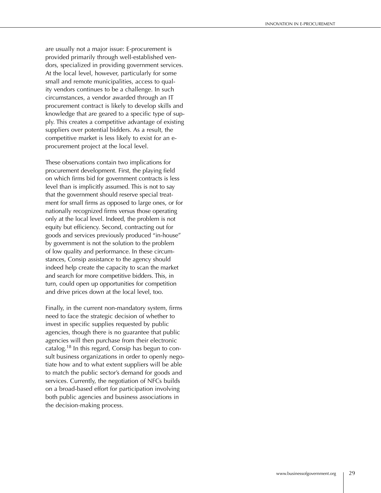are usually not a major issue: E-procurement is provided primarily through well-established vendors, specialized in providing government services. At the local level, however, particularly for some small and remote municipalities, access to quality vendors continues to be a challenge. In such circumstances, a vendor awarded through an IT procurement contract is likely to develop skills and knowledge that are geared to a specific type of supply. This creates a competitive advantage of existing suppliers over potential bidders. As a result, the competitive market is less likely to exist for an eprocurement project at the local level.

These observations contain two implications for procurement development. First, the playing field on which firms bid for government contracts is less level than is implicitly assumed. This is not to say that the government should reserve special treatment for small firms as opposed to large ones, or for nationally recognized firms versus those operating only at the local level. Indeed, the problem is not equity but efficiency. Second, contracting out for goods and services previously produced "in-house" by government is not the solution to the problem of low quality and performance. In these circumstances, Consip assistance to the agency should indeed help create the capacity to scan the market and search for more competitive bidders. This, in turn, could open up opportunities for competition and drive prices down at the local level, too.

Finally, in the current non-mandatory system, firms need to face the strategic decision of whether to invest in specific supplies requested by public agencies, though there is no guarantee that public agencies will then purchase from their electronic catalog.<sup>18</sup> In this regard, Consip has begun to consult business organizations in order to openly negotiate how and to what extent suppliers will be able to match the public sector's demand for goods and services. Currently, the negotiation of NFCs builds on a broad-based effort for participation involving both public agencies and business associations in the decision-making process.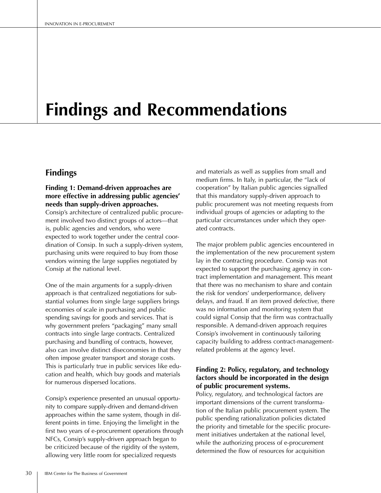# **Findings and Recommendations**

## **Findings**

## **Finding 1: Demand-driven approaches are more effective in addressing public agencies' needs than supply-driven approaches.**

Consip's architecture of centralized public procurement involved two distinct groups of actors—that is, public agencies and vendors, who were expected to work together under the central coordination of Consip. In such a supply-driven system, purchasing units were required to buy from those vendors winning the large supplies negotiated by Consip at the national level.

One of the main arguments for a supply-driven approach is that centralized negotiations for substantial volumes from single large suppliers brings economies of scale in purchasing and public spending savings for goods and services. That is why government prefers "packaging" many small contracts into single large contracts. Centralized purchasing and bundling of contracts, however, also can involve distinct diseconomies in that they often impose greater transport and storage costs. This is particularly true in public services like education and health, which buy goods and materials for numerous dispersed locations.

Consip's experience presented an unusual opportunity to compare supply-driven and demand-driven approaches within the same system, though in different points in time. Enjoying the limelight in the first two years of e-procurement operations through NFCs, Consip's supply-driven approach began to be criticized because of the rigidity of the system, allowing very little room for specialized requests

and materials as well as supplies from small and medium firms. In Italy, in particular, the "lack of cooperation" by Italian public agencies signalled that this mandatory supply-driven approach to public procurement was not meeting requests from individual groups of agencies or adapting to the particular circumstances under which they operated contracts.

The major problem public agencies encountered in the implementation of the new procurement system lay in the contracting procedure. Consip was not expected to support the purchasing agency in contract implementation and management. This meant that there was no mechanism to share and contain the risk for vendors' underperformance, delivery delays, and fraud. If an item proved defective, there was no information and monitoring system that could signal Consip that the firm was contractually responsible. A demand-driven approach requires Consip's involvement in continuously tailoring capacity building to address contract-managementrelated problems at the agency level.

### **Finding 2: Policy, regulatory, and technology factors should be incorporated in the design of public procurement systems.**

Policy, regulatory, and technological factors are important dimensions of the current transformation of the Italian public procurement system. The public spending rationalization policies dictated the priority and timetable for the specific procurement initiatives undertaken at the national level, while the authorizing process of e-procurement determined the flow of resources for acquisition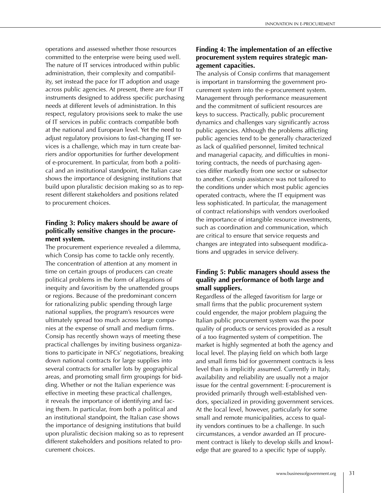operations and assessed whether those resources committed to the enterprise were being used well. The nature of IT services introduced within public administration, their complexity and compatibility, set instead the pace for IT adoption and usage across public agencies. At present, there are four IT instruments designed to address specific purchasing needs at different levels of administration. In this respect, regulatory provisions seek to make the use of IT services in public contracts compatible both at the national and European level. Yet the need to adjust regulatory provisions to fast-changing IT services is a challenge, which may in turn create barriers and/or opportunities for further development of e-procurement. In particular, from both a political and an institutional standpoint, the Italian case shows the importance of designing institutions that build upon pluralistic decision making so as to represent different stakeholders and positions related to procurement choices.

## **Finding 3: Policy makers should be aware of politically sensitive changes in the procurement system.**

The procurement experience revealed a dilemma, which Consip has come to tackle only recently. The concentration of attention at any moment in time on certain groups of producers can create political problems in the form of allegations of inequity and favoritism by the unattended groups or regions. Because of the predominant concern for rationalizing public spending through large national supplies, the program's resources were ultimately spread too much across large companies at the expense of small and medium firms. Consip has recently shown ways of meeting these practical challenges by inviting business organizations to participate in NFCs' negotiations, breaking down national contracts for large supplies into several contracts for smaller lots by geographical areas, and promoting small firm groupings for bidding. Whether or not the Italian experience was effective in meeting these practical challenges, it reveals the importance of identifying and facing them. In particular, from both a political and an institutional standpoint, the Italian case shows the importance of designing institutions that build upon pluralistic decision making so as to represent different stakeholders and positions related to procurement choices.

## **Finding 4: The implementation of an effective procurement system requires strategic management capacities.**

The analysis of Consip confirms that management is important in transforming the government procurement system into the e-procurement system. Management through performance measurement and the commitment of sufficient resources are keys to success. Practically, public procurement dynamics and challenges vary significantly across public agencies. Although the problems afflicting public agencies tend to be generally characterized as lack of qualified personnel, limited technical and managerial capacity, and difficulties in monitoring contracts, the needs of purchasing agencies differ markedly from one sector or subsector to another. Consip assistance was not tailored to the conditions under which most public agencies operated contracts, where the IT equipment was less sophisticated. In particular, the management of contract relationships with vendors overlooked the importance of intangible resource investments, such as coordination and communication, which are critical to ensure that service requests and changes are integrated into subsequent modifications and upgrades in service delivery.

## **Finding 5: Public managers should assess the quality and performance of both large and small suppliers.**

Regardless of the alleged favoritism for large or small firms that the public procurement system could engender, the major problem plaguing the Italian public procurement system was the poor quality of products or services provided as a result of a too fragmented system of competition. The market is highly segmented at both the agency and local level. The playing field on which both large and small firms bid for government contracts is less level than is implicitly assumed. Currently in Italy, availability and reliability are usually not a major issue for the central government: E-procurement is provided primarily through well-established vendors, specialized in providing government services. At the local level, however, particularly for some small and remote municipalities, access to quality vendors continues to be a challenge. In such circumstances, a vendor awarded an IT procurement contract is likely to develop skills and knowledge that are geared to a specific type of supply.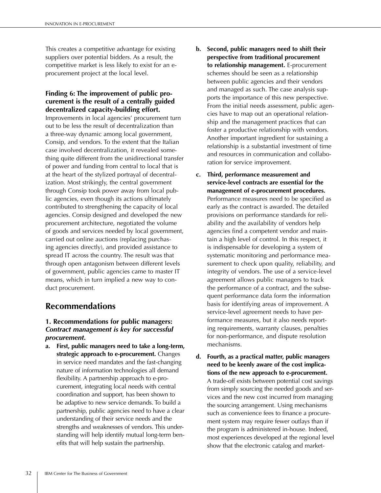This creates a competitive advantage for existing suppliers over potential bidders. As a result, the competitive market is less likely to exist for an eprocurement project at the local level.

### **Finding 6: The improvement of public procurement is the result of a centrally guided decentralized capacity-building effort.**

Improvements in local agencies' procurement turn out to be less the result of decentralization than a three-way dynamic among local government, Consip, and vendors. To the extent that the Italian case involved decentralization, it revealed something quite different from the unidirectional transfer of power and funding from central to local that is at the heart of the stylized portrayal of decentralization. Most strikingly, the central government through Consip took power away from local public agencies, even though its actions ultimately contributed to strengthening the capacity of local agencies. Consip designed and developed the new procurement architecture, negotiated the volume of goods and services needed by local government, carried out online auctions (replacing purchasing agencies directly), and provided assistance to spread IT across the country. The result was that through open antagonism between different levels of government, public agencies came to master IT means, which in turn implied a new way to conduct procurement.

# **Recommendations**

### **1. Recommendations for public managers:**  *Contract management is key for successful procurement.*

**a. First, public managers need to take a long-term, strategic approach to e-procurement.** Changes in service need mandates and the fast-changing nature of information technologies all demand flexibility. A partnership approach to e-procurement, integrating local needs with central coordination and support, has been shown to be adaptive to new service demands. To build a partnership, public agencies need to have a clear understanding of their service needs and the strengths and weaknesses of vendors. This understanding will help identify mutual long-term benefits that will help sustain the partnership.

- **b. Second, public managers need to shift their perspective from traditional procurement to relationship management.** E-procurement schemes should be seen as a relationship between public agencies and their vendors and managed as such. The case analysis supports the importance of this new perspective. From the initial needs assessment, public agencies have to map out an operational relationship and the management practices that can foster a productive relationship with vendors. Another important ingredient for sustaining a relationship is a substantial investment of time and resources in communication and collaboration for service improvement.
- **c. Third, performance measurement and service-level contracts are essential for the management of e-procurement procedures.** Performance measures need to be specified as early as the contract is awarded. The detailed provisions on performance standards for reliability and the availability of vendors help agencies find a competent vendor and maintain a high level of control. In this respect, it is indispensable for developing a system of systematic monitoring and performance measurement to check upon quality, reliability, and integrity of vendors. The use of a service-level agreement allows public managers to track the performance of a contract, and the subsequent performance data form the information basis for identifying areas of improvement. A service-level agreement needs to have performance measures, but it also needs reporting requirements, warranty clauses, penalties for non-performance, and dispute resolution mechanisms.
- **d. Fourth, as a practical matter, public managers need to be keenly aware of the cost implications of the new approach to e-procurement.** A trade-off exists between potential cost savings from simply sourcing the needed goods and services and the new cost incurred from managing the sourcing arrangement. Using mechanisms such as convenience fees to finance a procurement system may require fewer outlays than if the program is administered in-house. Indeed, most experiences developed at the regional level show that the electronic catalog and market-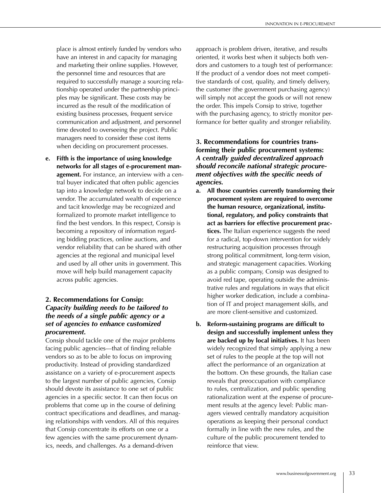place is almost entirely funded by vendors who have an interest in and capacity for managing and marketing their online supplies. However, the personnel time and resources that are required to successfully manage a sourcing relationship operated under the partnership principles may be significant. These costs may be incurred as the result of the modification of existing business processes, frequent service communication and adjustment, and personnel time devoted to overseeing the project. Public managers need to consider these cost items when deciding on procurement processes.

**e. Fifth is the importance of using knowledge networks for all stages of e-procurement management.** For instance, an interview with a central buyer indicated that often public agencies tap into a knowledge network to decide on a vendor. The accumulated wealth of experience and tacit knowledge may be recognized and formalized to promote market intelligence to find the best vendors. In this respect, Consip is becoming a repository of information regarding bidding practices, online auctions, and vendor reliability that can be shared with other agencies at the regional and municipal level and used by all other units in government. This move will help build management capacity across public agencies.

### **2. Recommendations for Consip:**  *Capacity building needs to be tailored to the needs of a single public agency or a set of agencies to enhance customized procurement.*

Consip should tackle one of the major problems facing public agencies—that of finding reliable vendors so as to be able to focus on improving productivity. Instead of providing standardized assistance on a variety of e-procurement aspects to the largest number of public agencies, Consip should devote its assistance to one set of public agencies in a specific sector. It can then focus on problems that come up in the course of defining contract specifications and deadlines, and managing relationships with vendors. All of this requires that Consip concentrate its efforts on one or a few agencies with the same procurement dynamics, needs, and challenges. As a demand-driven

approach is problem driven, iterative, and results oriented, it works best when it subjects both vendors and customers to a tough test of performance: If the product of a vendor does not meet competitive standards of cost, quality, and timely delivery, the customer (the government purchasing agency) will simply not accept the goods or will not renew the order. This impels Consip to strive, together with the purchasing agency, to strictly monitor performance for better quality and stronger reliability.

## **3. Recommendations for countries transforming their public procurement systems:**  *A centrally guided decentralized approach should reconcile national strategic procurement objectives with the specific needs of agencies.*

- **a. All those countries currently transforming their procurement system are required to overcome the human resource, organizational, institutional, regulatory, and policy constraints that act as barriers for effective procurement practices.** The Italian experience suggests the need for a radical, top-down intervention for widely restructuring acquisition processes through strong political commitment, long-term vision, and strategic management capacities. Working as a public company, Consip was designed to avoid red tape, operating outside the administrative rules and regulations in ways that elicit higher worker dedication, include a combination of IT and project management skills, and are more client-sensitive and customized.
- **b. Reform-sustaining programs are difficult to design and successfully implement unless they are backed up by local initiatives.** It has been widely recognized that simply applying a new set of rules to the people at the top will not affect the performance of an organization at the bottom. On these grounds, the Italian case reveals that preoccupation with compliance to rules, centralization, and public spending rationalization went at the expense of procurement results at the agency level: Public managers viewed centrally mandatory acquisition operations as keeping their personal conduct formally in line with the new rules, and the culture of the public procurement tended to reinforce that view.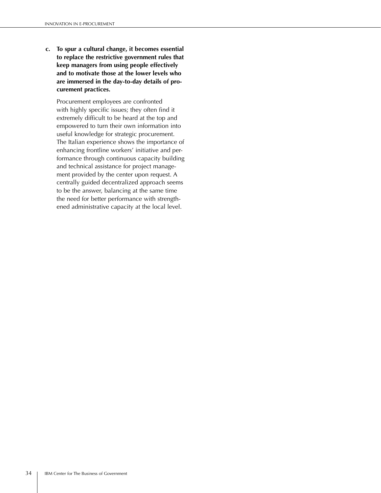**c. To spur a cultural change, it becomes essential to replace the restrictive government rules that keep managers from using people effectively and to motivate those at the lower levels who are immersed in the day-to-day details of procurement practices.**

 Procurement employees are confronted with highly specific issues; they often find it extremely difficult to be heard at the top and empowered to turn their own information into useful knowledge for strategic procurement. The Italian experience shows the importance of enhancing frontline workers' initiative and performance through continuous capacity building and technical assistance for project management provided by the center upon request. A centrally guided decentralized approach seems to be the answer, balancing at the same time the need for better performance with strengthened administrative capacity at the local level.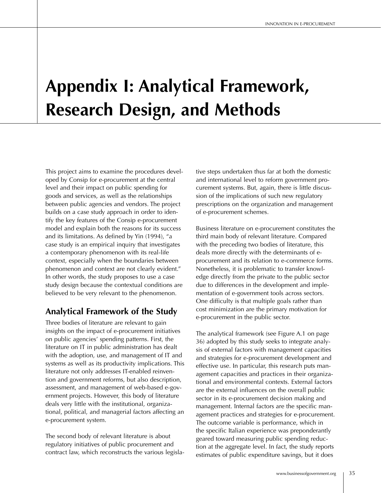# **Appendix I: Analytical Framework, Research Design, and Methods**

This project aims to examine the procedures developed by Consip for e-procurement at the central level and their impact on public spending for goods and services, as well as the relationships between public agencies and vendors. The project builds on a case study approach in order to identify the key features of the Consip e-procurement model and explain both the reasons for its success and its limitations. As defined by Yin (1994), "a case study is an empirical inquiry that investigates a contemporary phenomenon with its real-life context, especially when the boundaries between phenomenon and context are not clearly evident." In other words, the study proposes to use a case study design because the contextual conditions are believed to be very relevant to the phenomenon.

# **Analytical Framework of the Study**

Three bodies of literature are relevant to gain insights on the impact of e-procurement initiatives on public agencies' spending patterns. First, the literature on IT in public administration has dealt with the adoption, use, and management of IT and systems as well as its productivity implications. This literature not only addresses IT-enabled reinvention and government reforms, but also description, assessment, and management of web-based e-government projects. However, this body of literature deals very little with the institutional, organizational, political, and managerial factors affecting an e-procurement system.

The second body of relevant literature is about regulatory initiatives of public procurement and contract law, which reconstructs the various legislative steps undertaken thus far at both the domestic and international level to reform government procurement systems. But, again, there is little discussion of the implications of such new regulatory prescriptions on the organization and management of e-procurement schemes.

Business literature on e-procurement constitutes the third main body of relevant literature. Compared with the preceding two bodies of literature, this deals more directly with the determinants of eprocurement and its relation to e-commerce forms. Nonetheless, it is problematic to transfer knowledge directly from the private to the public sector due to differences in the development and implementation of e-government tools across sectors. One difficulty is that multiple goals rather than cost minimization are the primary motivation for e-procurement in the public sector.

The analytical framework (see Figure A.1 on page 36) adopted by this study seeks to integrate analysis of external factors with management capacities and strategies for e-procurement development and effective use. In particular, this research puts management capacities and practices in their organizational and environmental contexts. External factors are the external influences on the overall public sector in its e-procurement decision making and management. Internal factors are the specific management practices and strategies for e-procurement. The outcome variable is performance, which in the specific Italian experience was preponderantly geared toward measuring public spending reduction at the aggregate level. In fact, the study reports estimates of public expenditure savings, but it does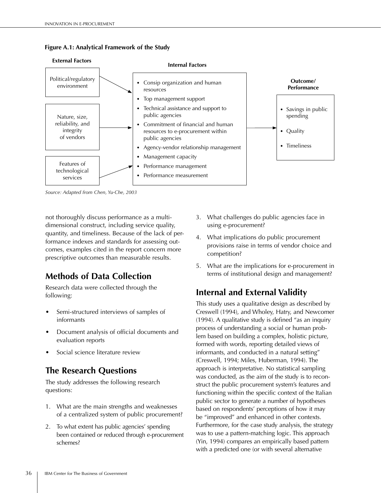### **Figure A.1: Analytical Framework of the Study**



*Source: Adapted from Chen, Yu-Che, 2003*

not thoroughly discuss performance as a multidimensional construct, including service quality, quantity, and timeliness. Because of the lack of performance indexes and standards for assessing outcomes, examples cited in the report concern more prescriptive outcomes than measurable results.

# **Methods of Data Collection**

Research data were collected through the following:

- Semi-structured interviews of samples of informants
- Document analysis of official documents and evaluation reports
- Social science literature review

# **The Research Questions**

The study addresses the following research questions:

- 1. What are the main strengths and weaknesses of a centralized system of public procurement?
- 2. To what extent has public agencies' spending been contained or reduced through e-procurement schemes?
- 3. What challenges do public agencies face in using e-procurement?
- 4. What implications do public procurement provisions raise in terms of vendor choice and competition?
- 5. What are the implications for e-procurement in terms of institutional design and management?

# **Internal and External Validity**

This study uses a qualitative design as described by Creswell (1994), and Wholey, Hatry, and Newcomer (1994). A qualitative study is defined "as an inquiry process of understanding a social or human problem based on building a complex, holistic picture, formed with words, reporting detailed views of informants, and conducted in a natural setting" (Creswell, 1994; Miles, Huberman, 1994). The approach is interpretative. No statistical sampling was conducted, as the aim of the study is to reconstruct the public procurement system's features and functioning within the specific context of the Italian public sector to generate a number of hypotheses based on respondents' perceptions of how it may be "improved" and enhanced in other contexts. Furthermore, for the case study analysis, the strategy was to use a pattern-matching logic. This approach (Yin, 1994) compares an empirically based pattern with a predicted one (or with several alternative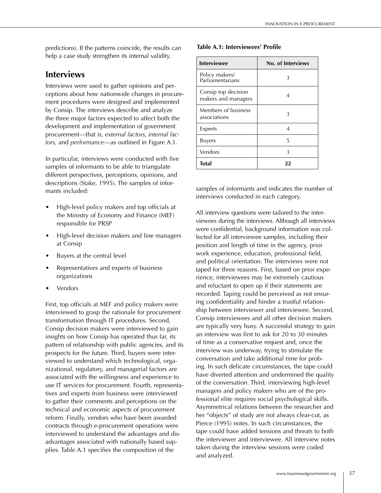predictions). If the patterns coincide, the results can help a case study strengthen its internal validity.

## **Interviews**

Interviews were used to gather opinions and perceptions about how nationwide changes in procurement procedures were designed and implemented by Consip. The interviews describe and analyze the three major factors expected to affect both the development and implementation of government procurement—that is, *external factors, internal factors,* and *performance*—as outlined in Figure A.1.

In particular, interviews were conducted with five samples of informants to be able to triangulate different perspectives, perceptions, opinions, and descriptions (Stake, 1995). The samples of informants included:

- High-level policy makers and top officials at the Ministry of Economy and Finance (MEF) responsible for PRSP
- High-level decision makers and line managers at Consip
- Buyers at the central level
- Representatives and experts of business organizations
- **Vendors**

First, top officials at MEF and policy makers were interviewed to grasp the rationale for procurement transformation through IT procedures. Second, Consip decision makers were interviewed to gain insights on how Consip has operated thus far, its pattern of relationship with public agencies, and its prospects for the future. Third, buyers were interviewed to understand which technological, organizational, regulatory, and managerial factors are associated with the willingness and experience to use IT services for procurement. Fourth, representatives and experts from business were interviewed to gather their comments and perceptions on the technical and economic aspects of procurement reform. Finally, vendors who have been awarded contracts through e-procurement operations were interviewed to understand the advantages and disadvantages associated with nationally based supplies. Table A.1 specifies the composition of the

### **Table A.1: Interviewees' Profile**

| <b>Interviewee</b>                         | No. of Interviews |
|--------------------------------------------|-------------------|
| Policy makers/<br>Parliamentarians         | 3                 |
| Consip top decision<br>makers and managers |                   |
| Members of business<br>associations        | 3                 |
| Experts                                    | 4                 |
| <b>Buyers</b>                              | 5                 |
| Vendors                                    | 3                 |
| <b>Total</b>                               | 22                |

samples of informants and indicates the number of interviews conducted in each category.

All interview questions were tailored to the interviewees during the interviews. Although all interviews were confidential, background information was collected for all interviewee samples, including their position and length of time in the agency, prior work experience, education, professional field, and political orientation. The interviews were not taped for three reasons. First, based on prior experience, interviewees may be extremely cautious and reluctant to open up if their statements are recorded. Taping could be perceived as not ensuring confidentiality and hinder a trustful relationship between interviewer and interviewee. Second, Consip interviewees and all other decision makers are typically very busy. A successful strategy to gain an interview was first to ask for 20 to 30 minutes of time as a conservative request and, once the interview was underway, trying to stimulate the conversation and take additional time for probing. In such delicate circumstances, the tape could have diverted attention and undermined the quality of the conversation. Third, interviewing high-level managers and policy makers who are of the professional elite requires social psychological skills. Asymmetrical relations between the researcher and her "objects" of study are not always clear-cut, as Pierce (1995) notes. In such circumstances, the tape could have added tensions and threats to both the interviewer and interviewee. All interview notes taken during the interview sessions were coded and analyzed.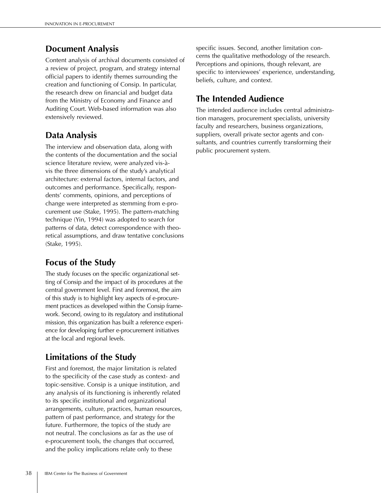# **Document Analysis**

Content analysis of archival documents consisted of a review of project, program, and strategy internal official papers to identify themes surrounding the creation and functioning of Consip. In particular, the research drew on financial and budget data from the Ministry of Economy and Finance and Auditing Court. Web-based information was also extensively reviewed.

# **Data Analysis**

The interview and observation data, along with the contents of the documentation and the social science literature review, were analyzed vis-àvis the three dimensions of the study's analytical architecture: external factors, internal factors, and outcomes and performance. Specifically, respondents' comments, opinions, and perceptions of change were interpreted as stemming from e-procurement use (Stake, 1995). The pattern-matching technique (Yin, 1994) was adopted to search for patterns of data, detect correspondence with theoretical assumptions, and draw tentative conclusions (Stake, 1995).

# **Focus of the Study**

The study focuses on the specific organizational setting of Consip and the impact of its procedures at the central government level. First and foremost, the aim of this study is to highlight key aspects of e-procurement practices as developed within the Consip framework. Second, owing to its regulatory and institutional mission, this organization has built a reference experience for developing further e-procurement initiatives at the local and regional levels.

# **Limitations of the Study**

First and foremost, the major limitation is related to the specificity of the case study as context- and topic-sensitive. Consip is a unique institution, and any analysis of its functioning is inherently related to its specific institutional and organizational arrangements, culture, practices, human resources, pattern of past performance, and strategy for the future. Furthermore, the topics of the study are not neutral. The conclusions as far as the use of e-procurement tools, the changes that occurred, and the policy implications relate only to these

specific issues. Second, another limitation concerns the qualitative methodology of the research. Perceptions and opinions, though relevant, are specific to interviewees' experience, understanding, beliefs, culture, and context.

# **The Intended Audience**

The intended audience includes central administration managers, procurement specialists, university faculty and researchers, business organizations, suppliers, overall private sector agents and consultants, and countries currently transforming their public procurement system.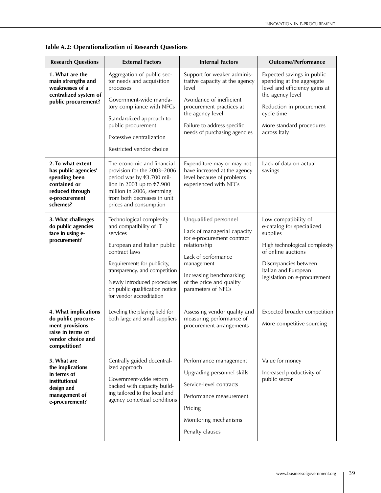| <b>Research Questions</b>                                                                                                  | <b>External Factors</b>                                                                                                                                                                                                                                                      | <b>Internal Factors</b>                                                                                                                                                                                              | <b>Outcome/Performance</b>                                                                                                                                                                            |
|----------------------------------------------------------------------------------------------------------------------------|------------------------------------------------------------------------------------------------------------------------------------------------------------------------------------------------------------------------------------------------------------------------------|----------------------------------------------------------------------------------------------------------------------------------------------------------------------------------------------------------------------|-------------------------------------------------------------------------------------------------------------------------------------------------------------------------------------------------------|
| 1. What are the<br>main strengths and<br>weaknesses of a<br>centralized system of<br>public procurement?                   | Aggregation of public sec-<br>tor needs and acquisition<br>processes<br>Government-wide manda-<br>tory compliance with NFCs<br>Standardized approach to<br>public procurement<br>Excessive centralization<br>Restricted vendor choice                                        | Support for weaker adminis-<br>trative capacity at the agency<br>level<br>Avoidance of inefficient<br>procurement practices at<br>the agency level<br>Failure to address specific<br>needs of purchasing agencies    | Expected savings in public<br>spending at the aggregate<br>level and efficiency gains at<br>the agency level<br>Reduction in procurement<br>cycle time<br>More standard procedures<br>across Italy    |
| 2. To what extent<br>has public agencies'<br>spending been<br>contained or<br>reduced through<br>e-procurement<br>schemes? | The economic and financial<br>provision for the 2003-2006<br>period was by €3.700 mil-<br>lion in 2003 up to €7.900<br>million in 2006, stemming<br>from both decreases in unit<br>prices and consumption                                                                    | Expenditure may or may not<br>have increased at the agency<br>level because of problems<br>experienced with NFCs                                                                                                     | Lack of data on actual<br>savings                                                                                                                                                                     |
| 3. What challenges<br>do public agencies<br>face in using e-<br>procurement?                                               | Technological complexity<br>and compatibility of IT<br>services<br>European and Italian public<br>contract laws<br>Requirements for publicity,<br>transparency, and competition<br>Newly introduced procedures<br>on public qualification notice<br>for vendor accreditation | Unqualified personnel<br>Lack of managerial capacity<br>for e-procurement contract<br>relationship<br>Lack of performance<br>management<br>Increasing benchmarking<br>of the price and quality<br>parameters of NFCs | Low compatibility of<br>e-catalog for specialized<br>supplies<br>High technological complexity<br>of online auctions<br>Discrepancies between<br>Italian and European<br>legislation on e-procurement |
| 4. What implications<br>do public procure-<br>ment provisions<br>raise in terms of<br>vendor choice and<br>competition?    | Leveling the playing field for<br>both large and small suppliers                                                                                                                                                                                                             | Assessing vendor quality and<br>measuring performance of<br>procurement arrangements                                                                                                                                 | Expected broader competition<br>More competitive sourcing                                                                                                                                             |
| 5. What are<br>the implications<br>in terms of<br>institutional<br>design and<br>management of<br>e-procurement?           | Centrally guided decentral-<br>ized approach<br>Government-wide reform<br>backed with capacity build-<br>ing tailored to the local and<br>agency contextual conditions                                                                                                       | Performance management<br>Upgrading personnel skills<br>Service-level contracts<br>Performance measurement<br>Pricing<br>Monitoring mechanisms<br>Penalty clauses                                                    | Value for money<br>Increased productivity of<br>public sector                                                                                                                                         |

**Table A.2: Operationalization of Research Questions**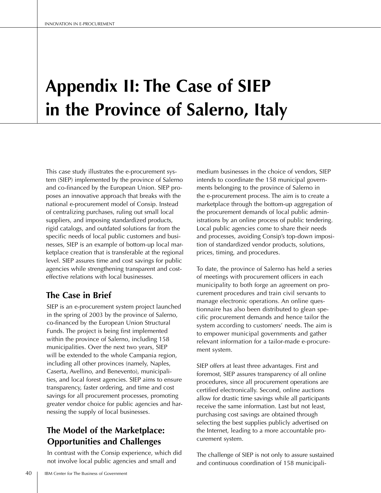# **Appendix II: The Case of SIEP in the Province of Salerno, Italy**

This case study illustrates the e-procurement system (SIEP) implemented by the province of Salerno and co-financed by the European Union. SIEP proposes an innovative approach that breaks with the national e-procurement model of Consip. Instead of centralizing purchases, ruling out small local suppliers, and imposing standardized products, rigid catalogs, and outdated solutions far from the specific needs of local public customers and businesses, SIEP is an example of bottom-up local marketplace creation that is transferable at the regional level. SIEP assures time and cost savings for public agencies while strengthening transparent and costeffective relations with local businesses.

# **The Case in Brief**

SIEP is an e-procurement system project launched in the spring of 2003 by the province of Salerno, co-financed by the European Union Structural Funds. The project is being first implemented within the province of Salerno, including 158 municipalities. Over the next two years, SIEP will be extended to the whole Campania region, including all other provinces (namely, Naples, Caserta, Avellino, and Benevento), municipalities, and local forest agencies. SIEP aims to ensure transparency, faster ordering, and time and cost savings for all procurement processes, promoting greater vendor choice for public agencies and harnessing the supply of local businesses.

# **The Model of the Marketplace: Opportunities and Challenges**

In contrast with the Consip experience, which did not involve local public agencies and small and

medium businesses in the choice of vendors, SIEP intends to coordinate the 158 municipal governments belonging to the province of Salerno in the e-procurement process. The aim is to create a marketplace through the bottom-up aggregation of the procurement demands of local public administrations by an online process of public tendering. Local public agencies come to share their needs and processes, avoiding Consip's top-down imposition of standardized vendor products, solutions, prices, timing, and procedures.

To date, the province of Salerno has held a series of meetings with procurement officers in each municipality to both forge an agreement on procurement procedures and train civil servants to manage electronic operations. An online questionnaire has also been distributed to glean specific procurement demands and hence tailor the system according to customers' needs. The aim is to empower municipal governments and gather relevant information for a tailor-made e-procurement system.

SIEP offers at least three advantages. First and foremost, SIEP assures transparency of all online procedures, since all procurement operations are certified electronically. Second, online auctions allow for drastic time savings while all participants receive the same information. Last but not least, purchasing cost savings are obtained through selecting the best supplies publicly advertised on the Internet, leading to a more accountable procurement system.

The challenge of SIEP is not only to assure sustained and continuous coordination of 158 municipali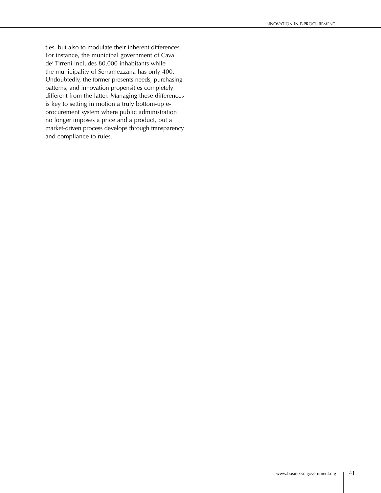ties, but also to modulate their inherent differences. For instance, the municipal government of Cava de' Tirreni includes 80,000 inhabitants while the municipality of Serramezzana has only 400. Undoubtedly, the former presents needs, purchasing patterns, and innovation propensities completely different from the latter. Managing these differences is key to setting in motion a truly bottom-up eprocurement system where public administration no longer imposes a price and a product, but a market-driven process develops through transparency and compliance to rules.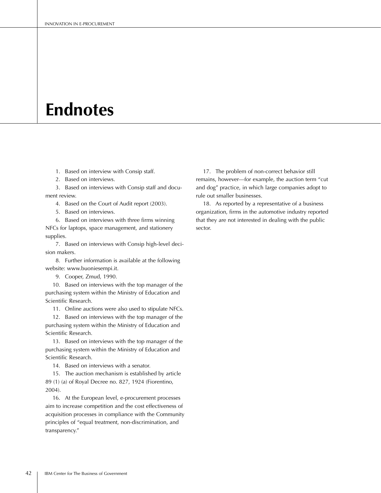# **Endnotes**

- 1. Based on interview with Consip staff.
- 2. Based on interviews.

 3. Based on interviews with Consip staff and document review.

- 4. Based on the Court of Audit report (2003).
- 5. Based on interviews.

 6. Based on interviews with three firms winning NFCs for laptops, space management, and stationery supplies.

 7. Based on interviews with Consip high-level decision makers.

 8. Further information is available at the following website: www.buoniesempi.it.

9. Cooper, Zmud, 1990.

10. Based on interviews with the top manager of the purchasing system within the Ministry of Education and Scientific Research.

11. Online auctions were also used to stipulate NFCs.

 12. Based on interviews with the top manager of the purchasing system within the Ministry of Education and Scientific Research.

 13. Based on interviews with the top manager of the purchasing system within the Ministry of Education and Scientific Research.

14. Based on interviews with a senator.

 15. The auction mechanism is established by article 89 (1) (a) of Royal Decree no. 827, 1924 (Fiorentino, 2004).

 16. At the European level, e-procurement processes aim to increase competition and the cost effectiveness of acquisition processes in compliance with the Community principles of "equal treatment, non-discrimination, and transparency."

 17. The problem of non-correct behavior still remains, however—for example, the auction term "cut and dog" practice, in which large companies adopt to rule out smaller businesses.

 18. As reported by a representative of a business organization, firms in the automotive industry reported that they are not interested in dealing with the public sector.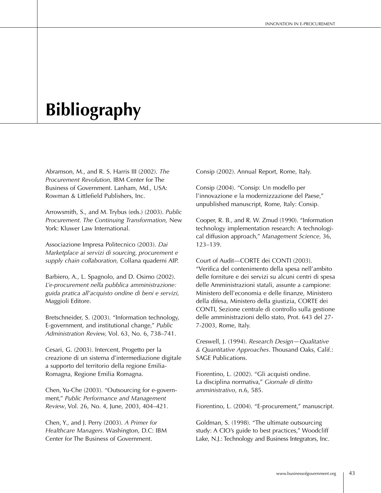# **Bibliography**

Abramson, M., and R. S. Harris III (2002). *The Procurement Revolution,* IBM Center for The Business of Government. Lanham, Md., USA: Rowman & Littlefield Publishers, Inc.

Arrowsmith, S., and M. Trybus (eds.) (2003). *Public Procurement. The Continuing Transformation,* New York: Kluwer Law International.

Associazione Impresa Politecnico (2003). *Dai Marketplace ai servizi di sourcing, procurement e supply chain collaboration,* Collana quaderni AIP.

Barbiero, A., L. Spagnolo, and D. Osimo (2002). *L'e-procurement nella pubblica amministrazione: guida pratica all'acquisto ondine di beni e servizi,*  Maggioli Editore.

Bretschneider, S. (2003). "Information technology, E-government, and institutional change," *Public Administration Review,* Vol. 63, No. 6, 738–741.

Cesari, G. (2003). Intercent, Progetto per la creazione di un sistema d'intermediazione digitale a supporto del territorio della regione Emilia-Romagna, Regione Emilia Romagna.

Chen, Yu-Che (2003). "Outsourcing for e-government," *Public Performance and Management Review*, Vol. 26, No. 4, June, 2003, 404–421.

Chen, Y., and J. Perry (2003). *A Primer for Healthcare Managers*. Washington, D.C: IBM Center for The Business of Government.

Consip (2002). Annual Report, Rome, Italy.

Consip (2004). "Consip: Un modello per l'innovazione e la modernizzazione del Paese," unpublished manuscript, Rome, Italy: Consip.

Cooper, R. B., and R. W. Zmud (1990). "Information technology implementation research: A technological diffusion approach," *Management Science,* 36, 123–139.

Court of Audit—CORTE dei CONTI (2003). "Verifica del contenimento della spesa nell'ambito delle forniture e dei servizi su alcuni centri di spesa delle Amministrazioni statali, assunte a campione: Ministero dell'economia e delle finanze, Ministero della difesa, Ministero della giustizia, CORTE dei CONTI, Sezione centrale di controllo sulla gestione delle amministrazioni dello stato, Prot. 643 del 27- 7-2003, Rome, Italy.

Creswell, J. (1994). *Research Design—Qualitative & Quantitative Approaches*. Thousand Oaks, Calif.: SAGE Publications.

Fiorentino, L. (2002). "Gli acquisti ondine. La disciplina normativa," *Giornale di diritto amministrativo*, n.6, 585.

Fiorentino, L. (2004). "E-procurement," manuscript.

Goldman, S. (1998). "The ultimate outsourcing study: A CIO's guide to best practices," Woodcliff Lake, N.J.: Technology and Business Integrators, Inc.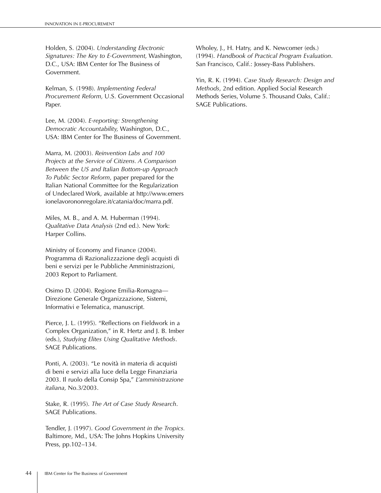Holden, S. (2004). *Understanding Electronic Signatures: The Key to E-Government,* Washington, D.C., USA: IBM Center for The Business of Government.

Kelman, S. (1998). *Implementing Federal Procurement Reform,* U.S. Government Occasional Paper.

Lee, M. (2004). *E-reporting: Strengthening Democratic Accountability,* Washington, D.C., USA: IBM Center for The Business of Government.

Marra, M. (2003). *Reinvention Labs and 100 Projects at the Service of Citizens. A Comparison Between the US and Italian Bottom-up Approach To Public Sector Reform*, paper prepared for the Italian National Committee for the Regularization of Undeclared Work, available at http://www.emers ionelavorononregolare.it/catania/doc/marra.pdf.

Miles, M. B., and A. M. Huberman (1994). *Qualitative Data Analysis* (2nd ed.). New York: Harper Collins.

Ministry of Economy and Finance (2004). Programma di Razionalizzazione degli acquisti di beni e servizi per le Pubbliche Amministrazioni, 2003 Report to Parliament.

Osimo D. (2004). Regione Emilia-Romagna— Direzione Generale Organizzazione, Sistemi, Informativi e Telematica, manuscript.

Pierce, J. L. (1995). "Reflections on Fieldwork in a Complex Organization," in R. Hertz and J. B. Imber (eds.), *Studying Elites Using Qualitative Methods*. SAGE Publications.

Ponti, A. (2003). "Le novità in materia di acquisti di beni e servizi alla luce della Legge Finanziaria 2003. Il ruolo della Consip Spa," *L'amministrazione italiana,* No.3/2003.

Stake, R. (1995). *The Art of Case Study Research*. SAGE Publications.

Tendler, J. (1997). *Good Government in the Tropics.*  Baltimore, Md., USA: The Johns Hopkins University Press, pp.102–134.

Wholey, J., H. Hatry, and K. Newcomer (eds.) (1994). *Handbook of Practical Program Evaluation*. San Francisco, Calif.: Jossey-Bass Publishers.

Yin, R. K. (1994). *Case Study Research: Design and Methods*, 2nd edition. Applied Social Research Methods Series, Volume 5. Thousand Oaks, Calif.: SAGE Publications.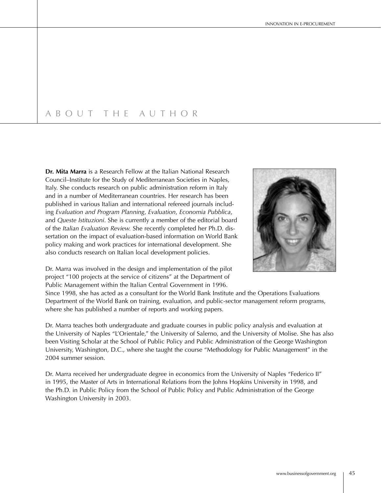# A B O U T T H E A U T H O R

**Dr. Mita Marra** is a Research Fellow at the Italian National Research Council–Institute for the Study of Mediterranean Societies in Naples, Italy. She conducts research on public administration reform in Italy and in a number of Mediterranean countries. Her research has been published in various Italian and international refereed journals including *Evaluation and Program Planning*, *Evaluation*, *Economia Pubblica*, and *Queste Istituzioni*. She is currently a member of the editorial board of the *Italian Evaluation Review.* She recently completed her Ph.D. dissertation on the impact of evaluation-based information on World Bank policy making and work practices for international development. She also conducts research on Italian local development policies.



Dr. Marra was involved in the design and implementation of the pilot project "100 projects at the service of citizens" at the Department of Public Management within the Italian Central Government in 1996.

Since 1998, she has acted as a consultant for the World Bank Institute and the Operations Evaluations Department of the World Bank on training, evaluation, and public-sector management reform programs, where she has published a number of reports and working papers.

Dr. Marra teaches both undergraduate and graduate courses in public policy analysis and evaluation at the University of Naples "L'Orientale," the University of Salerno, and the University of Molise. She has also been Visiting Scholar at the School of Public Policy and Public Administration of the George Washington University, Washington, D.C., where she taught the course "Methodology for Public Management" in the 2004 summer session.

Dr. Marra received her undergraduate degree in economics from the University of Naples "Federico II" in 1995, the Master of Arts in International Relations from the Johns Hopkins University in 1998, and the Ph.D. in Public Policy from the School of Public Policy and Public Administration of the George Washington University in 2003.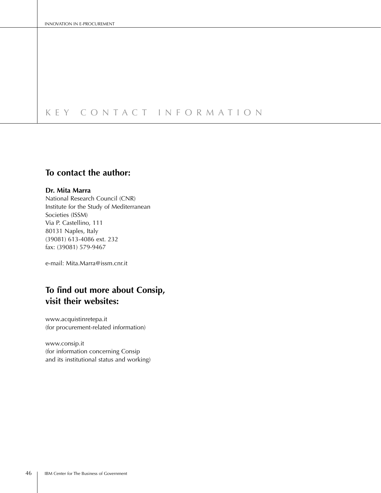# K E Y C O N T A C T I N F O R M A T I O N

# **To contact the author:**

### **Dr. Mita Marra**

National Research Council (CNR) Institute for the Study of Mediterranean Societies (ISSM) Via P. Castellino, 111 80131 Naples, Italy (39081) 613-4086 ext. 232 fax: (39081) 579-9467

e-mail: Mita.Marra@issm.cnr.it

# **To find out more about Consip, visit their websites:**

www.acquistinretepa.it (for procurement-related information)

www.consip.it (for information concerning Consip and its institutional status and working)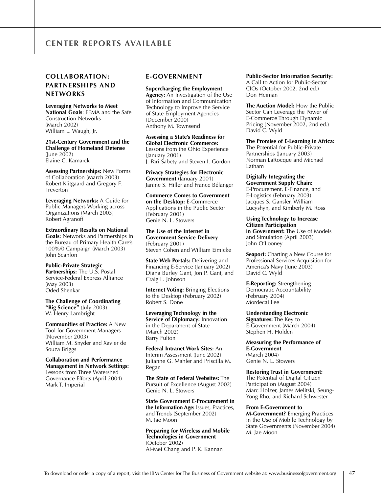## **COLLABORATION: PARTNERSHIPS AND NETWORKS**

**Leveraging Networks to Meet National Goals**: FEMA and the Safe Construction Networks (March 2002) William L. Waugh, Jr.

**21st-Century Government and the Challenge of Homeland Defense**  (June 2002) Elaine C. Kamarck

**Assessing Partnerships:** New Forms of Collaboration (March 2003) Robert Klitgaard and Gregory F. Treverton

**Leveraging Networks:** A Guide for Public Managers Working across Organizations (March 2003) Robert Agranoff

**Extraordinary Results on National Goals:** Networks and Partnerships in the Bureau of Primary Health Care's 100%/0 Campaign (March 2003) John Scanlon

**Public-Private Strategic Partnerships:** The U.S. Postal Service-Federal Express Alliance (May 2003) Oded Shenkar

**The Challenge of Coordinating "Big Science"** (July 2003) W. Henry Lambright

**Communities of Practice:** A New Tool for Government Managers (November 2003) William M. Snyder and Xavier de Souza Briggs

**Collaboration and Performance Management in Network Settings:** Lessons from Three Watershed Governance Efforts (April 2004) Mark T. Imperial

### **E-GOVERNMENT**

**Supercharging the Employment Agency:** An Investigation of the Use of Information and Communication Technology to Improve the Service of State Employment Agencies (December 2000) Anthony M. Townsend

**Assessing a State's Readiness for Global Electronic Commerce:** Lessons from the Ohio Experience (January 2001) J. Pari Sabety and Steven I. Gordon

**Privacy Strategies for Electronic Government** (January 2001) Janine S. Hiller and France Bélanger

**Commerce Comes to Government on the Desktop:** E-Commerce Applications in the Public Sector (February 2001) Genie N. L. Stowers

**The Use of the Internet in Government Service Delivery** (February 2001) Steven Cohen and William Eimicke

**State Web Portals:** Delivering and Financing E-Service (January 2002) Diana Burley Gant, Jon P. Gant, and Craig L. Johnson

**Internet Voting:** Bringing Elections to the Desktop (February 2002) Robert S. Done

**Leveraging Technology in the Service of Diplomacy:** Innovation in the Department of State (March 2002) Barry Fulton

**Federal Intranet Work Sites:** An Interim Assessment (June 2002) Julianne G. Mahler and Priscilla M. Regan

**The State of Federal Websites:** The Pursuit of Excellence (August 2002) Genie N. L. Stowers

**State Government E-Procurement in the Information Age:** Issues, Practices, and Trends (September 2002) M. Jae Moon

**Preparing for Wireless and Mobile Technologies in Government** (October 2002) Ai-Mei Chang and P. K. Kannan

### **Public-Sector Information Security:**

A Call to Action for Public-Sector CIOs (October 2002, 2nd ed.) Don Heiman

**The Auction Model:** How the Public Sector Can Leverage the Power of E-Commerce Through Dynamic Pricing (November 2002, 2nd ed.) David C. Wyld

**The Promise of E-Learning in Africa:** The Potential for Public-Private Partnerships (January 2003) Norman LaRocque and Michael Latham

**Digitally Integrating the Government Supply Chain:** E-Procurement, E-Finance, and E-Logistics (February 2003) Jacques S. Gansler, William Lucyshyn, and Kimberly M. Ross

**Using Technology to Increase Citizen Participation in Government:** The Use of Models and Simulation (April 2003) John O'Looney

**Seaport:** Charting a New Course for Professional Services Acquisition for America's Navy (June 2003) David C. Wyld

**E-Reporting:** Strengthening Democratic Accountability (February 2004) Mordecai Lee

**Understanding Electronic Signatures:** The Key to

E-Government (March 2004) Stephen H. Holden

**Measuring the Performance of E-Government** (March 2004) Genie N. L. Stowers

**Restoring Trust in Government:** The Potential of Digital Citizen Participation (August 2004) Marc Holzer, James Melitski, Seung-Yong Rho, and Richard Schwester

**From E-Government to** 

**M-Government?** Emerging Practices in the Use of Mobile Technology by State Governments (November 2004) M. Jae Moon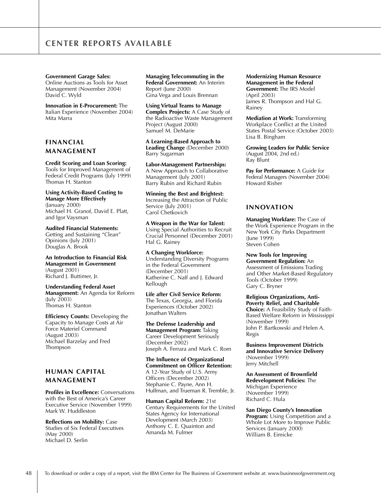**Government Garage Sales:** Online Auctions as Tools for Asset Management (November 2004) David C. Wyld

**Innovation in E-Procurement:** The Italian Experience (November 2004) Mita Marra

### **FINANCIAL MANAGEMENT**

#### **Credit Scoring and Loan Scoring:**

Tools for Improved Management of Federal Credit Programs (July 1999) Thomas H. Stanton

### **Using Activity-Based Costing to Manage More Effectively** (January 2000) Michael H. Granof, David E. Platt,

and Igor Vaysman **Audited Financial Statements:**

Getting and Sustaining "Clean" Opinions (July 2001) Douglas A. Brook

**An Introduction to Financial Risk Management in Government**  (August 2001) Richard J. Buttimer, Jr.

#### **Understanding Federal Asset Management:** An Agenda for Reform (July 2003) Thomas H. Stanton

**Efficiency Counts:** Developing the Capacity to Manage Costs at Air Force Materiel Command (August 2003) Michael Barzelay and Fred Thompson

### **HUMAN CAPITAL MANAGEMENT**

**Profiles in Excellence:** Conversations with the Best of America's Career Executive Service (November 1999) Mark W. Huddleston

**Reflections on Mobility:** Case Studies of Six Federal Executives (May 2000) Michael D. Serlin

**Managing Telecommuting in the Federal Government:** An Interim Report (June 2000) Gina Vega and Louis Brennan

**Using Virtual Teams to Manage Complex Projects:** A Case Study of the Radioactive Waste Management Project (August 2000) Samuel M. DeMarie

**A Learning-Based Approach to Leading Change** (December 2000) Barry Sugarman

**Labor-Management Partnerships:** A New Approach to Collaborative Management (July 2001)

Barry Rubin and Richard Rubin **Winning the Best and Brightest:**  Increasing the Attraction of Public Service (July 2001) Carol Chetkovich

**A Weapon in the War for Talent:**  Using Special Authorities to Recruit Crucial Personnel (December 2001) Hal G. Rainey

**A Changing Workforce:** Understanding Diversity Programs in the Federal Government (December 2001) Katherine C. Naff and J. Edward Kellough

**Life after Civil Service Reform:**  The Texas, Georgia, and Florida Experiences (October 2002) Jonathan Walters

**The Defense Leadership and Management Program:** Taking Career Development Seriously (December 2002) Joseph A. Ferrara and Mark C. Rom

**The Influence of Organizational Commitment on Officer Retention:**  A 12-Year Study of U.S. Army Officers (December 2002) Stephanie C. Payne, Ann H. Huffman, and Trueman R. Tremble, Jr.

**Human Capital Reform:** 21st Century Requirements for the United States Agency for International Development (March 2003) Anthony C. E. Quainton and Amanda M. Fulmer

**Modernizing Human Resource Management in the Federal Government:** The IRS Model (April 2003) James R. Thompson and Hal G. Rainey

**Mediation at Work:** Transforming Workplace Conflict at the United States Postal Service (October 2003) Lisa B. Bingham

**Growing Leaders for Public Service** (August 2004, 2nd ed.) Ray Blunt

**Pay for Performance:** A Guide for Federal Managers (November 2004) Howard Risher

### **INNOVATION**

**Managing Workfare:** The Case of the Work Experience Program in the New York City Parks Department (June 1999) Steven Cohen

**New Tools for Improving Government Regulation:** An Assessment of Emissions Trading and Other Market-Based Regulatory Tools (October 1999) Gary C. Bryner

**Religious Organizations, Anti-Poverty Relief, and Charitable Choice:** A Feasibility Study of Faith-Based Welfare Reform in Mississippi (November 1999) John P. Bartkowski and Helen A. Regis

**Business Improvement Districts and Innovative Service Delivery**  (November 1999) Jerry Mitchell

**An Assessment of Brownfield Redevelopment Policies:** The Michigan Experience (November 1999) Richard C. Hula

**San Diego County's Innovation Program:** Using Competition and a Whole Lot More to Improve Public Services (January 2000) William B. Eimicke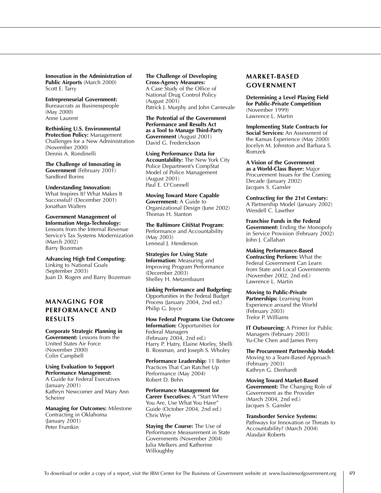**Innovation in the Administration of Public Airports** (March 2000) Scott E. Tarry

**Entrepreneurial Government:** Bureaucrats as Businesspeople (May 2000) Anne Laurent

**Rethinking U.S. Environmental Protection Policy:** Management Challenges for a New Administration (November 2000) Dennis A. Rondinelli

**The Challenge of Innovating in Government** (February 2001) Sandford Borins

**Understanding Innovation:**  What Inspires It? What Makes It Successful? (December 2001) Jonathan Walters

**Government Management of Information Mega-Technology:**  Lessons from the Internal Revenue Service's Tax Systems Modernization (March 2002) Barry Bozeman

**Advancing High End Computing:** Linking to National Goals (September 2003) Juan D. Rogers and Barry Bozeman

## **MANAGING FOR PERFORMANCE AND RESULTS**

**Corporate Strategic Planning in Government:** Lessons from the United States Air Force (November 2000) Colin Campbell

**Using Evaluation to Support Performance Management:** A Guide for Federal Executives (January 2001) Kathryn Newcomer and Mary Ann Scheirer

**Managing for Outcomes:** Milestone Contracting in Oklahoma  $($ January 2001) Peter Frumkin

#### **The Challenge of Developing Cross-Agency Measures:**  A Case Study of the Office of National Drug Control Policy (August 2001) Patrick J. Murphy and John Carnevale

**The Potential of the Government Performance and Results Act as a Tool to Manage Third-Party Government** (August 2001) David G. Frederickson

**Using Performance Data for Accountability:** The New York City Police Department's CompStat Model of Police Management (August 2001) Paul E. O'Connell

**Moving Toward More Capable Government:** A Guide to Organizational Design (June 2002) Thomas H. Stanton

**The Baltimore CitiStat Program:** Performance and Accountability (May 2003) Lenneal J. Henderson

**Strategies for Using State Information:** Measuring and Improving Program Performance (December 2003) Shelley H. Metzenbaum

**Linking Performance and Budgeting:**  Opportunities in the Federal Budget Process (January 2004, 2nd ed.) Philip G. Joyce

**How Federal Programs Use Outcome Information:** Opportunities for Federal Managers (February 2004, 2nd ed.) Harry P. Hatry, Elaine Morley, Shelli B. Rossman, and Joseph S. Wholey

**Performance Leadership:** 11 Better Practices That Can Ratchet Up Performance (May 2004) Robert D. Behn

**Performance Management for Career Executives:** A "Start Where You Are, Use What You Have" Guide (October 2004, 2nd ed.) Chris Wye

**Staying the Course:** The Use of Performance Measurement in State Governments (November 2004) Julia Melkers and Katherine Willoughby

## **MARKET-BASED GOVERNMENT**

**Determining a Level Playing Field for Public-Private Competition** (November 1999) Lawrence L. Martin

**Implementing State Contracts for Social Services:** An Assessment of the Kansas Experience (May 2000) Jocelyn M. Johnston and Barbara S. Romzek

**A Vision of the Government as a World-Class Buyer:** Major Procurement Issues for the Coming Decade (January 2002) Jacques S. Gansler

**Contracting for the 21st Century:**  A Partnership Model (January 2002) Wendell C. Lawther

**Franchise Funds in the Federal Government:** Ending the Monopoly in Service Provision (February 2002) John J. Callahan

**Making Performance-Based Contracting Perform:** What the Federal Government Can Learn from State and Local Governments (November 2002, 2nd ed.) Lawrence L. Martin

**Moving to Public-Private Partnerships:** Learning from Experience around the World (February 2003) Trefor P. Williams

**IT Outsourcing:** A Primer for Public Managers (February 2003) Yu-Che Chen and James Perry

**The Procurement Partnership Model:** Moving to a Team-Based Approach (February 2003) Kathryn G. Denhardt

**Moving Toward Market-Based Government:** The Changing Role of Government as the Provider (March 2004, 2nd ed.) Jacques S. Gansler

**Transborder Service Systems:** Pathways for Innovation or Threats to Accountability? (March 2004) Alasdair Roberts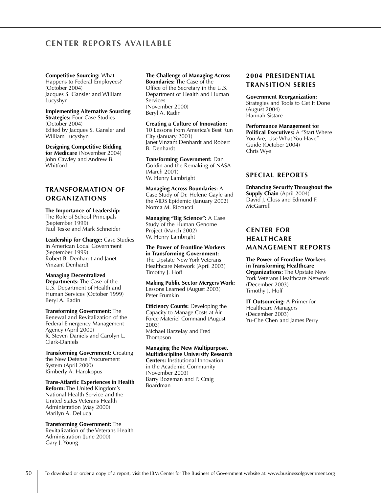**Competitive Sourcing:** What Happens to Federal Employees? (October 2004) Jacques S. Gansler and William Lucyshyn

### **Implementing Alternative Sourcing**

**Strategies:** Four Case Studies (October 2004) Edited by Jacques S. Gansler and William Lucyshyn

#### **Designing Competitive Bidding**

**for Medicare** (November 2004) John Cawley and Andrew B. Whitford

### **TRANSFORMATION OF ORGANIZATIONS**

#### **The Importance of Leadership:**

The Role of School Principals (September 1999) Paul Teske and Mark Schneider

**Leadership for Change:** Case Studies in American Local Government (September 1999) Robert B. Denhardt and Janet Vinzant Denhardt

#### **Managing Decentralized**

**Departments:** The Case of the U.S. Department of Health and Human Services (October 1999) Beryl A. Radin

### **Transforming Government:** The

Renewal and Revitalization of the Federal Emergency Management Agency (April 2000) R. Steven Daniels and Carolyn L. Clark-Daniels

**Transforming Government:** Creating the New Defense Procurement System (April 2000) Kimberly A. Harokopus

### **Trans-Atlantic Experiences in Health**

**Reform:** The United Kingdom's National Health Service and the United States Veterans Health Administration (May 2000) Marilyn A. DeLuca

### **Transforming Government:** The

Revitalization of the Veterans Health Administration (June 2000) Gary J. Young

### **The Challenge of Managing Across**

**Boundaries:** The Case of the Office of the Secretary in the U.S. Department of Health and Human Services (November 2000) Beryl A. Radin

#### **Creating a Culture of Innovation:**

10 Lessons from America's Best Run City (January 2001) Janet Vinzant Denhardt and Robert B. Denhardt

**Transforming Government:** Dan Goldin and the Remaking of NASA (March 2001) W. Henry Lambright

### **Managing Across Boundaries:** A

Case Study of Dr. Helene Gayle and the AIDS Epidemic (January 2002) Norma M. Riccucci

**Managing "Big Science":** A Case Study of the Human Genome Project (March 2002) W. Henry Lambright

#### **The Power of Frontline Workers in Transforming Government:**

The Upstate New York Veterans Healthcare Network (April 2003) Timothy J. Hoff

**Making Public Sector Mergers Work:** Lessons Learned (August 2003) Peter Frumkin

**Efficiency Counts:** Developing the Capacity to Manage Costs at Air Force Materiel Command (August 2003) Michael Barzelay and Fred Thompson

#### **Managing the New Multipurpose, Multidiscipline University Research Centers:** Institutional Innovation

in the Academic Community (November 2003) Barry Bozeman and P. Craig Boardman

### **2004 PRESIDENTIAL TRANSITION SERIES**

#### **Government Reorganization:**

Strategies and Tools to Get It Done (August 2004) Hannah Sistare

#### **Performance Management for**

**Political Executives:** A "Start Where You Are, Use What You Have" Guide (October 2004) Chris Wye

### **SPECIAL REPORTS**

**Enhancing Security Throughout the Supply Chain** (April 2004) David J. Closs and Edmund F. McGarrell

### **CENTER FOR HEALTHCARE MANAGEMENT REPORTS**

**The Power of Frontline Workers in Transforming Healthcare Organizations:** The Upstate New York Veterans Healthcare Network (December 2003) Timothy J. Hoff

**IT Outsourcing:** A Primer for Healthcare Managers (December 2003) Yu-Che Chen and James Perry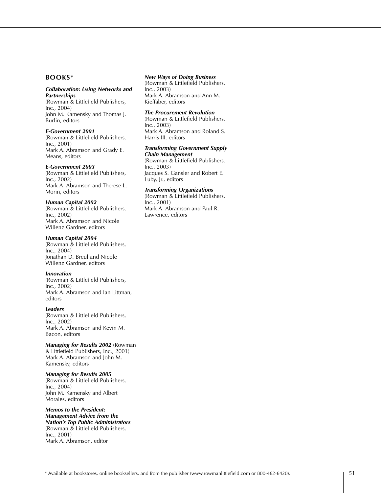### **BOOKS\***

#### *Collaboration: Using Networks and Partnerships*

(Rowman & Littlefield Publishers, Inc., 2004) John M. Kamensky and Thomas J. Burlin, editors

#### *E-Government 2001*

(Rowman & Littlefield Publishers, Inc., 2001) Mark A. Abramson and Grady E. Means, editors

#### *E-Government 2003*

(Rowman & Littlefield Publishers, Inc., 2002) Mark A. Abramson and Therese L. Morin, editors

#### *Human Capital 2002*

(Rowman & Littlefield Publishers, Inc., 2002) Mark A. Abramson and Nicole Willenz Gardner, editors

#### *Human Capital 2004*

(Rowman & Littlefield Publishers, Inc., 2004) Jonathan D. Breul and Nicole Willenz Gardner, editors

#### *Innovation*

(Rowman & Littlefield Publishers, Inc., 2002) Mark A. Abramson and Ian Littman, editors

#### *Leaders*

(Rowman & Littlefield Publishers, Inc., 2002) Mark A. Abramson and Kevin M. Bacon, editors

#### *Managing for Results 2002* (Rowman

& Littlefield Publishers, Inc., 2001) Mark A. Abramson and John M. Kamensky, editors

#### *Managing for Results 2005*

(Rowman & Littlefield Publishers, Inc., 2004) John M. Kamensky and Albert Morales, editors

#### *Memos to the President: Management Advice from the Nation's Top Public Administrators*  (Rowman & Littlefield Publishers, Inc., 2001) Mark A. Abramson, editor

#### *New Ways of Doing Business*

(Rowman & Littlefield Publishers, Inc., 2003) Mark A. Abramson and Ann M. Kieffaber, editors

#### *The Procurement Revolution*

(Rowman & Littlefield Publishers, Inc., 2003) Mark A. Abramson and Roland S. Harris III, editors

#### *Transforming Government Supply Chain Management*

(Rowman & Littlefield Publishers, Inc., 2003) Jacques S. Gansler and Robert E. Luby, Jr., editors

#### *Transforming Organizations*

(Rowman & Littlefield Publishers, Inc., 2001) Mark A. Abramson and Paul R. Lawrence, editors